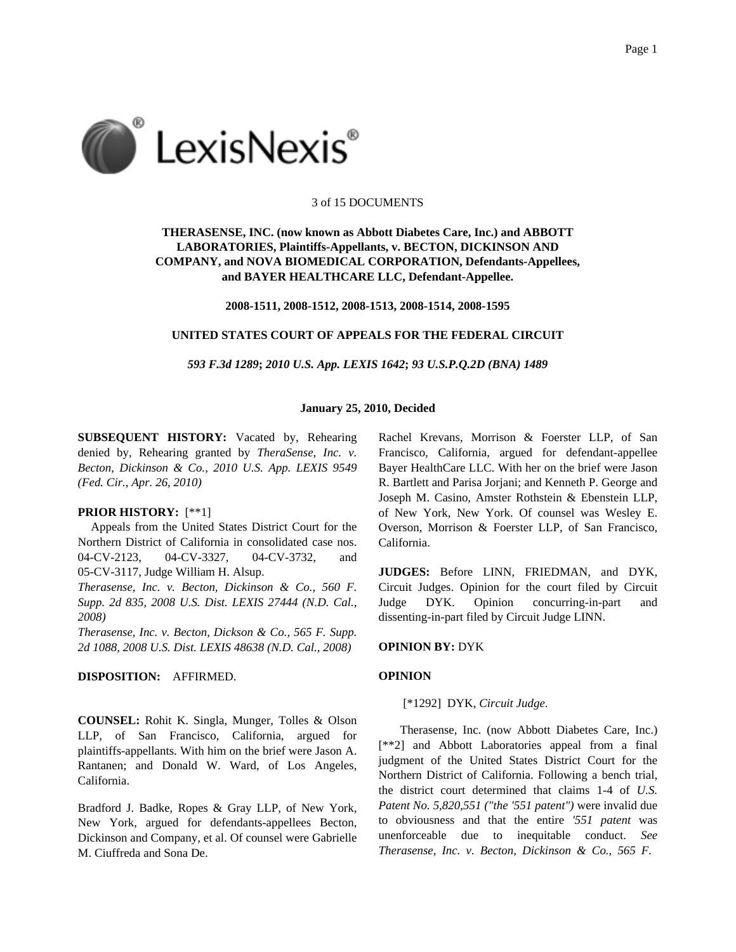

#### 3 of 15 DOCUMENTS

# **THERASENSE, INC. (now known as Abbott Diabetes Care, Inc.) and ABBOTT LABORATORIES, Plaintiffs-Appellants, v. BECTON, DICKINSON AND COMPANY, and NOVA BIOMEDICAL CORPORATION, Defendants-Appellees, and BAYER HEALTHCARE LLC, Defendant-Appellee.**

**2008-1511, 2008-1512, 2008-1513, 2008-1514, 2008-1595**

### **UNITED STATES COURT OF APPEALS FOR THE FEDERAL CIRCUIT**

*593 F.3d 1289***;** *2010 U.S. App. LEXIS 1642***;** *93 U.S.P.Q.2D (BNA) 1489*

#### **January 25, 2010, Decided**

**SUBSEQUENT HISTORY:** Vacated by, Rehearing denied by, Rehearing granted by *TheraSense, Inc. v. Becton, Dickinson & Co., 2010 U.S. App. LEXIS 9549 (Fed. Cir., Apr. 26, 2010)*

#### **PRIOR HISTORY:** [\*\*1]

Appeals from the United States District Court for the Northern District of California in consolidated case nos. 04-CV-2123, 04-CV-3327, 04-CV-3732, and 05-CV-3117, Judge William H. Alsup.

*Therasense, Inc. v. Becton, Dickinson & Co., 560 F. Supp. 2d 835, 2008 U.S. Dist. LEXIS 27444 (N.D. Cal., 2008)*

*Therasense, Inc. v. Becton, Dickson & Co., 565 F. Supp. 2d 1088, 2008 U.S. Dist. LEXIS 48638 (N.D. Cal., 2008)*

### **DISPOSITION:** AFFIRMED.

**COUNSEL:** Rohit K. Singla, Munger, Tolles & Olson LLP, of San Francisco, California, argued for plaintiffs-appellants. With him on the brief were Jason A. Rantanen; and Donald W. Ward, of Los Angeles, California.

Bradford J. Badke, Ropes & Gray LLP, of New York, New York, argued for defendants-appellees Becton, Dickinson and Company, et al. Of counsel were Gabrielle M. Ciuffreda and Sona De.

Rachel Krevans, Morrison & Foerster LLP, of San Francisco, California, argued for defendant-appellee Bayer HealthCare LLC. With her on the brief were Jason R. Bartlett and Parisa Jorjani; and Kenneth P. George and Joseph M. Casino, Amster Rothstein & Ebenstein LLP, of New York, New York. Of counsel was Wesley E. Overson, Morrison & Foerster LLP, of San Francisco, California.

**JUDGES:** Before LINN, FRIEDMAN, and DYK, Circuit Judges. Opinion for the court filed by Circuit Judge DYK. Opinion concurring-in-part and dissenting-in-part filed by Circuit Judge LINN.

## **OPINION BY:** DYK

#### **OPINION**

#### [\*1292] DYK, *Circuit Judge*.

Therasense, Inc. (now Abbott Diabetes Care, Inc.) [\*\*2] and Abbott Laboratories appeal from a final judgment of the United States District Court for the Northern District of California. Following a bench trial, the district court determined that claims 1-4 of *U.S. Patent No. 5,820,551 ("the '551 patent")* were invalid due to obviousness and that the entire *'551 patent* was unenforceable due to inequitable conduct. *See Therasense, Inc. v. Becton, Dickinson & Co., 565 F.*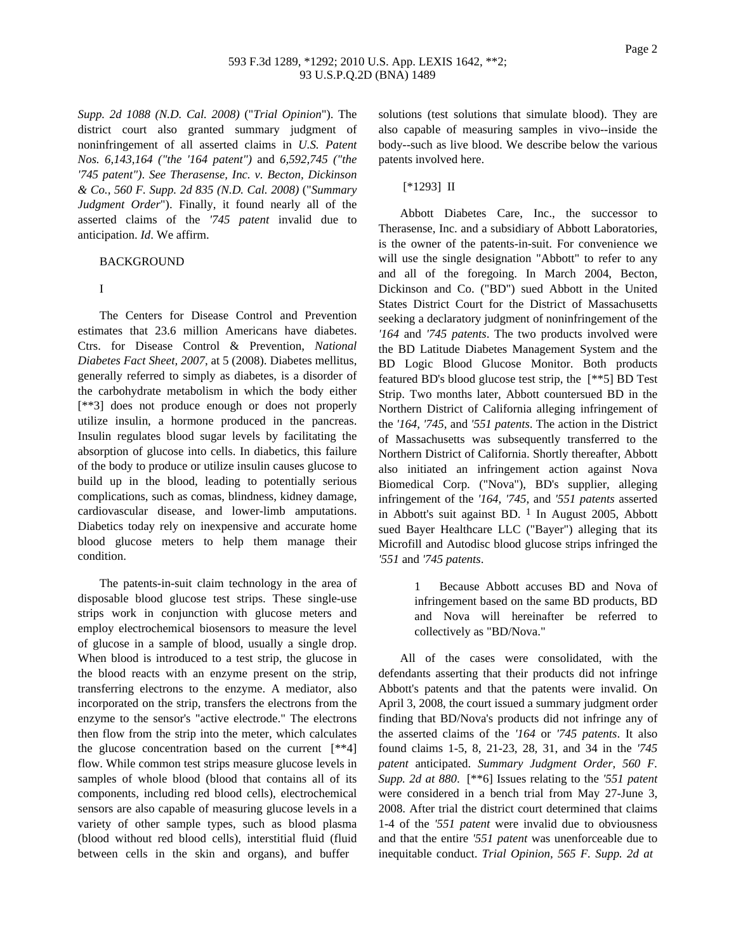*Supp. 2d 1088 (N.D. Cal. 2008)* ("*Trial Opinion*"). The district court also granted summary judgment of noninfringement of all asserted claims in *U.S. Patent Nos. 6,143,164 ("the '164 patent")* and *6,592,745 ("the '745 patent")*. *See Therasense, Inc. v. Becton, Dickinson & Co., 560 F. Supp. 2d 835 (N.D. Cal. 2008)* ("*Summary Judgment Order*"). Finally, it found nearly all of the asserted claims of the *'745 patent* invalid due to anticipation. *Id*. We affirm.

#### BACKGROUND

### I

The Centers for Disease Control and Prevention estimates that 23.6 million Americans have diabetes. Ctrs. for Disease Control & Prevention, *National Diabetes Fact Sheet, 2007*, at 5 (2008). Diabetes mellitus, generally referred to simply as diabetes, is a disorder of the carbohydrate metabolism in which the body either [\*\*3] does not produce enough or does not properly utilize insulin, a hormone produced in the pancreas. Insulin regulates blood sugar levels by facilitating the absorption of glucose into cells. In diabetics, this failure of the body to produce or utilize insulin causes glucose to build up in the blood, leading to potentially serious complications, such as comas, blindness, kidney damage, cardiovascular disease, and lower-limb amputations. Diabetics today rely on inexpensive and accurate home blood glucose meters to help them manage their condition.

The patents-in-suit claim technology in the area of disposable blood glucose test strips. These single-use strips work in conjunction with glucose meters and employ electrochemical biosensors to measure the level of glucose in a sample of blood, usually a single drop. When blood is introduced to a test strip, the glucose in the blood reacts with an enzyme present on the strip, transferring electrons to the enzyme. A mediator, also incorporated on the strip, transfers the electrons from the enzyme to the sensor's "active electrode." The electrons then flow from the strip into the meter, which calculates the glucose concentration based on the current [\*\*4] flow. While common test strips measure glucose levels in samples of whole blood (blood that contains all of its components, including red blood cells), electrochemical sensors are also capable of measuring glucose levels in a variety of other sample types, such as blood plasma (blood without red blood cells), interstitial fluid (fluid between cells in the skin and organs), and buffer

solutions (test solutions that simulate blood). They are also capable of measuring samples in vivo--inside the body--such as live blood. We describe below the various patents involved here.

### [\*1293] II

Abbott Diabetes Care, Inc., the successor to Therasense, Inc. and a subsidiary of Abbott Laboratories, is the owner of the patents-in-suit. For convenience we will use the single designation "Abbott" to refer to any and all of the foregoing. In March 2004, Becton, Dickinson and Co. ("BD") sued Abbott in the United States District Court for the District of Massachusetts seeking a declaratory judgment of noninfringement of the *'164* and *'745 patents*. The two products involved were the BD Latitude Diabetes Management System and the BD Logic Blood Glucose Monitor. Both products featured BD's blood glucose test strip, the [\*\*5] BD Test Strip. Two months later, Abbott countersued BD in the Northern District of California alleging infringement of the *'164*, *'745*, and *'551 patents*. The action in the District of Massachusetts was subsequently transferred to the Northern District of California. Shortly thereafter, Abbott also initiated an infringement action against Nova Biomedical Corp. ("Nova"), BD's supplier, alleging infringement of the *'164*, *'745*, and *'551 patents* asserted in Abbott's suit against BD.  $1$  In August 2005, Abbott sued Bayer Healthcare LLC ("Bayer") alleging that its Microfill and Autodisc blood glucose strips infringed the *'551* and *'745 patents*.

> 1 Because Abbott accuses BD and Nova of infringement based on the same BD products, BD and Nova will hereinafter be referred to collectively as "BD/Nova."

All of the cases were consolidated, with the defendants asserting that their products did not infringe Abbott's patents and that the patents were invalid. On April 3, 2008, the court issued a summary judgment order finding that BD/Nova's products did not infringe any of the asserted claims of the *'164* or *'745 patents*. It also found claims 1-5, 8, 21-23, 28, 31, and 34 in the *'745 patent* anticipated. *Summary Judgment Order, 560 F. Supp. 2d at 880*. [\*\*6] Issues relating to the *'551 patent* were considered in a bench trial from May 27-June 3, 2008. After trial the district court determined that claims 1-4 of the *'551 patent* were invalid due to obviousness and that the entire *'551 patent* was unenforceable due to inequitable conduct. *Trial Opinion, 565 F. Supp. 2d at*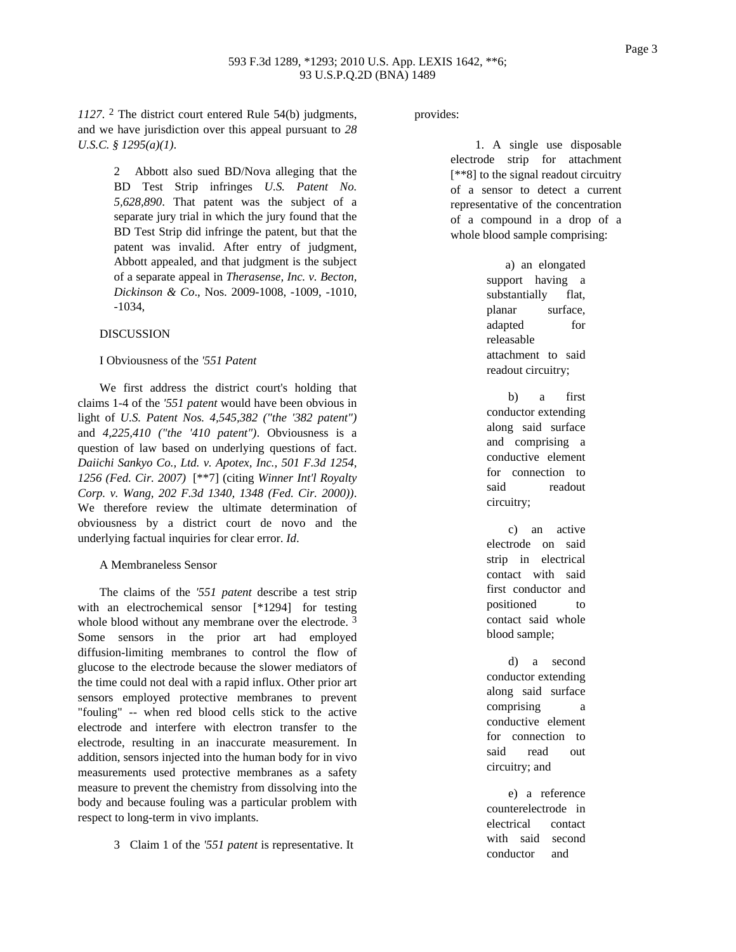*1127*. 2 The district court entered Rule 54(b) judgments, and we have jurisdiction over this appeal pursuant to *28 U.S.C. § 1295(a)(1)*.

> 2 Abbott also sued BD/Nova alleging that the BD Test Strip infringes *U.S. Patent No. 5,628,890*. That patent was the subject of a separate jury trial in which the jury found that the BD Test Strip did infringe the patent, but that the patent was invalid. After entry of judgment, Abbott appealed, and that judgment is the subject of a separate appeal in *Therasense, Inc. v. Becton, Dickinson & Co*., Nos. 2009-1008, -1009, -1010, -1034,

### **DISCUSSION**

#### I Obviousness of the *'551 Patent*

We first address the district court's holding that claims 1-4 of the *'551 patent* would have been obvious in light of *U.S. Patent Nos. 4,545,382 ("the '382 patent")* and *4,225,410 ("the '410 patent")*. Obviousness is a question of law based on underlying questions of fact. *Daiichi Sankyo Co., Ltd. v. Apotex, Inc., 501 F.3d 1254, 1256 (Fed. Cir. 2007)* [\*\*7] (citing *Winner Int'l Royalty Corp. v. Wang, 202 F.3d 1340, 1348 (Fed. Cir. 2000))*. We therefore review the ultimate determination of obviousness by a district court de novo and the underlying factual inquiries for clear error. *Id*.

#### A Membraneless Sensor

The claims of the *'551 patent* describe a test strip with an electrochemical sensor [\*1294] for testing whole blood without any membrane over the electrode.<sup>3</sup> Some sensors in the prior art had employed diffusion-limiting membranes to control the flow of glucose to the electrode because the slower mediators of the time could not deal with a rapid influx. Other prior art sensors employed protective membranes to prevent "fouling" -- when red blood cells stick to the active electrode and interfere with electron transfer to the electrode, resulting in an inaccurate measurement. In addition, sensors injected into the human body for in vivo measurements used protective membranes as a safety measure to prevent the chemistry from dissolving into the body and because fouling was a particular problem with respect to long-term in vivo implants.

3 Claim 1 of the *'551 patent* is representative. It

provides:

1. A single use disposable electrode strip for attachment [\*\*8] to the signal readout circuitry of a sensor to detect a current representative of the concentration of a compound in a drop of a whole blood sample comprising:

> a) an elongated support having a substantially flat, planar surface, adapted for releasable attachment to said readout circuitry;

> b) a first conductor extending along said surface and comprising a conductive element for connection to said readout circuitry;

> c) an active electrode on said strip in electrical contact with said first conductor and positioned to contact said whole blood sample;

> d) a second conductor extending along said surface comprising a conductive element for connection to said read out circuitry; and

e) a reference counterelectrode in electrical contact with said second conductor and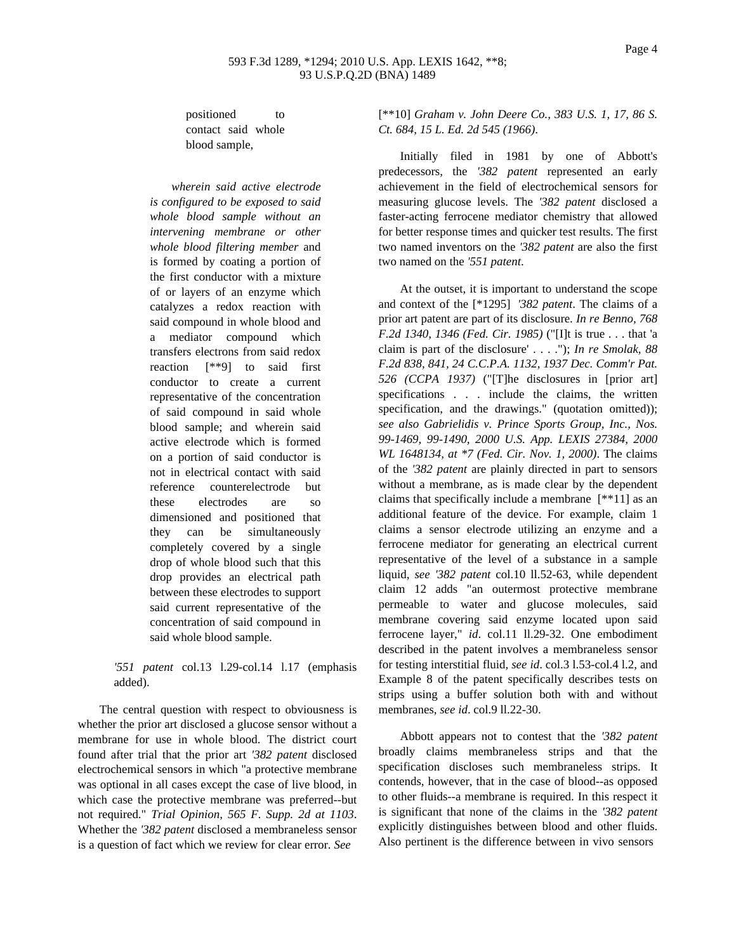positioned to contact said whole blood sample,

*wherein said active electrode is configured to be exposed to said whole blood sample without an intervening membrane or other whole blood filtering member* and is formed by coating a portion of the first conductor with a mixture of or layers of an enzyme which catalyzes a redox reaction with said compound in whole blood and a mediator compound which transfers electrons from said redox reaction [\*\*9] to said first conductor to create a current representative of the concentration of said compound in said whole blood sample; and wherein said active electrode which is formed on a portion of said conductor is not in electrical contact with said reference counterelectrode but these electrodes are so dimensioned and positioned that they can be simultaneously completely covered by a single drop of whole blood such that this drop provides an electrical path between these electrodes to support said current representative of the concentration of said compound in said whole blood sample.

## *'551 patent* col.13 l.29-col.14 l.17 (emphasis added).

The central question with respect to obviousness is whether the prior art disclosed a glucose sensor without a membrane for use in whole blood. The district court found after trial that the prior art *'382 patent* disclosed electrochemical sensors in which "a protective membrane was optional in all cases except the case of live blood, in which case the protective membrane was preferred--but not required." *Trial Opinion, 565 F. Supp. 2d at 1103*. Whether the *'382 patent* disclosed a membraneless sensor is a question of fact which we review for clear error. *See*

[\*\*10] *Graham v. John Deere Co., 383 U.S. 1, 17, 86 S. Ct. 684, 15 L. Ed. 2d 545 (1966)*.

Initially filed in 1981 by one of Abbott's predecessors, the *'382 patent* represented an early achievement in the field of electrochemical sensors for measuring glucose levels. The *'382 patent* disclosed a faster-acting ferrocene mediator chemistry that allowed for better response times and quicker test results. The first two named inventors on the *'382 patent* are also the first two named on the *'551 patent*.

At the outset, it is important to understand the scope and context of the [\*1295] *'382 patent*. The claims of a prior art patent are part of its disclosure. *In re Benno, 768 F.2d 1340, 1346 (Fed. Cir. 1985)* ("[I]t is true . . . that 'a claim is part of the disclosure' . . . ."); *In re Smolak, 88 F.2d 838, 841, 24 C.C.P.A. 1132, 1937 Dec. Comm'r Pat. 526 (CCPA 1937)* ("[T]he disclosures in [prior art] specifications . . . include the claims, the written specification, and the drawings." (quotation omitted)); *see also Gabrielidis v. Prince Sports Group, Inc., Nos. 99-1469, 99-1490, 2000 U.S. App. LEXIS 27384, 2000 WL 1648134, at \*7 (Fed. Cir. Nov. 1, 2000)*. The claims of the *'382 patent* are plainly directed in part to sensors without a membrane, as is made clear by the dependent claims that specifically include a membrane [\*\*11] as an additional feature of the device. For example, claim 1 claims a sensor electrode utilizing an enzyme and a ferrocene mediator for generating an electrical current representative of the level of a substance in a sample liquid, *see '382 patent* col.10 ll.52-63, while dependent claim 12 adds "an outermost protective membrane permeable to water and glucose molecules, said membrane covering said enzyme located upon said ferrocene layer," *id*. col.11 ll.29-32. One embodiment described in the patent involves a membraneless sensor for testing interstitial fluid, *see id*. col.3 l.53-col.4 l.2, and Example 8 of the patent specifically describes tests on strips using a buffer solution both with and without membranes, *see id*. col.9 ll.22-30.

Abbott appears not to contest that the *'382 patent* broadly claims membraneless strips and that the specification discloses such membraneless strips. It contends, however, that in the case of blood--as opposed to other fluids--a membrane is required. In this respect it is significant that none of the claims in the *'382 patent* explicitly distinguishes between blood and other fluids. Also pertinent is the difference between in vivo sensors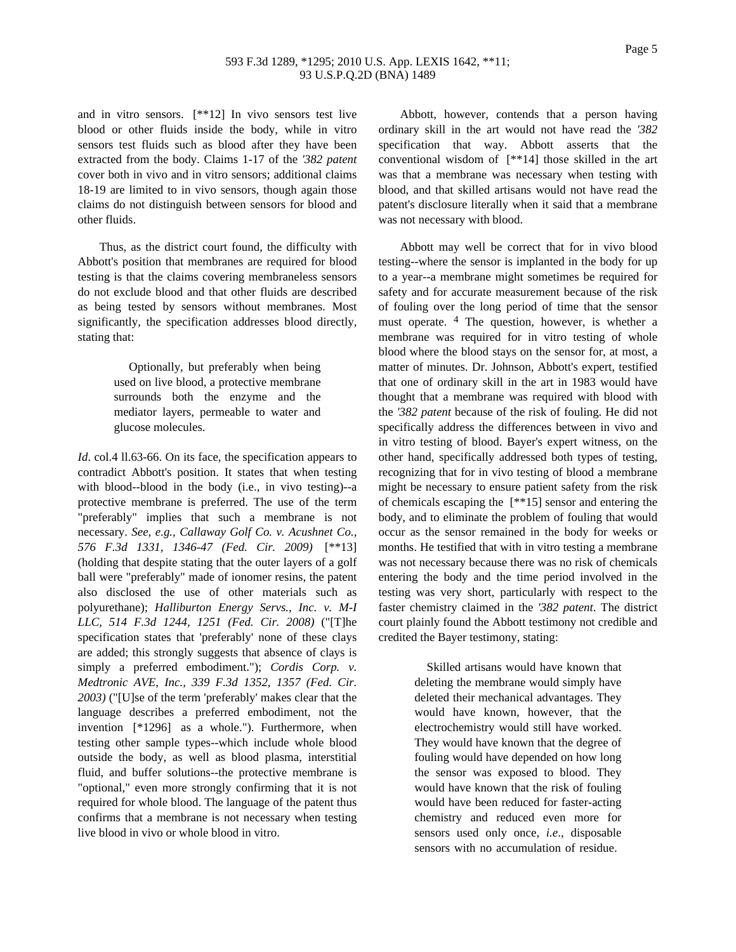## 593 F.3d 1289, \*1295; 2010 U.S. App. LEXIS 1642, \*\*11; 93 U.S.P.Q.2D (BNA) 1489

and in vitro sensors. [\*\*12] In vivo sensors test live blood or other fluids inside the body, while in vitro sensors test fluids such as blood after they have been extracted from the body. Claims 1-17 of the *'382 patent* cover both in vivo and in vitro sensors; additional claims 18-19 are limited to in vivo sensors, though again those claims do not distinguish between sensors for blood and other fluids.

Thus, as the district court found, the difficulty with Abbott's position that membranes are required for blood testing is that the claims covering membraneless sensors do not exclude blood and that other fluids are described as being tested by sensors without membranes. Most significantly, the specification addresses blood directly, stating that:

> Optionally, but preferably when being used on live blood, a protective membrane surrounds both the enzyme and the mediator layers, permeable to water and glucose molecules.

*Id.* col.4 ll.63-66. On its face, the specification appears to contradict Abbott's position. It states that when testing with blood--blood in the body (i.e., in vivo testing)--a protective membrane is preferred. The use of the term "preferably" implies that such a membrane is not necessary. *See, e.g., Callaway Golf Co. v. Acushnet Co., 576 F.3d 1331, 1346-47 (Fed. Cir. 2009)* [\*\*13] (holding that despite stating that the outer layers of a golf ball were "preferably" made of ionomer resins, the patent also disclosed the use of other materials such as polyurethane); *Halliburton Energy Servs., Inc. v. M-I LLC, 514 F.3d 1244, 1251 (Fed. Cir. 2008)* ("[T]he specification states that 'preferably' none of these clays are added; this strongly suggests that absence of clays is simply a preferred embodiment."); *Cordis Corp. v. Medtronic AVE, Inc., 339 F.3d 1352, 1357 (Fed. Cir. 2003)* ("[U]se of the term 'preferably' makes clear that the language describes a preferred embodiment, not the invention [\*1296] as a whole."). Furthermore, when testing other sample types--which include whole blood outside the body, as well as blood plasma, interstitial fluid, and buffer solutions--the protective membrane is "optional," even more strongly confirming that it is not required for whole blood. The language of the patent thus confirms that a membrane is not necessary when testing live blood in vivo or whole blood in vitro.

Abbott, however, contends that a person having ordinary skill in the art would not have read the *'382* specification that way. Abbott asserts that the conventional wisdom of [\*\*14] those skilled in the art was that a membrane was necessary when testing with blood, and that skilled artisans would not have read the patent's disclosure literally when it said that a membrane was not necessary with blood.

Abbott may well be correct that for in vivo blood testing--where the sensor is implanted in the body for up to a year--a membrane might sometimes be required for safety and for accurate measurement because of the risk of fouling over the long period of time that the sensor must operate. <sup>4</sup> The question, however, is whether a membrane was required for in vitro testing of whole blood where the blood stays on the sensor for, at most, a matter of minutes. Dr. Johnson, Abbott's expert, testified that one of ordinary skill in the art in 1983 would have thought that a membrane was required with blood with the *'382 patent* because of the risk of fouling. He did not specifically address the differences between in vivo and in vitro testing of blood. Bayer's expert witness, on the other hand, specifically addressed both types of testing, recognizing that for in vivo testing of blood a membrane might be necessary to ensure patient safety from the risk of chemicals escaping the [\*\*15] sensor and entering the body, and to eliminate the problem of fouling that would occur as the sensor remained in the body for weeks or months. He testified that with in vitro testing a membrane was not necessary because there was no risk of chemicals entering the body and the time period involved in the testing was very short, particularly with respect to the faster chemistry claimed in the *'382 patent*. The district court plainly found the Abbott testimony not credible and credited the Bayer testimony, stating:

> Skilled artisans would have known that deleting the membrane would simply have deleted their mechanical advantages. They would have known, however, that the electrochemistry would still have worked. They would have known that the degree of fouling would have depended on how long the sensor was exposed to blood. They would have known that the risk of fouling would have been reduced for faster-acting chemistry and reduced even more for sensors used only once, *i.e*., disposable sensors with no accumulation of residue.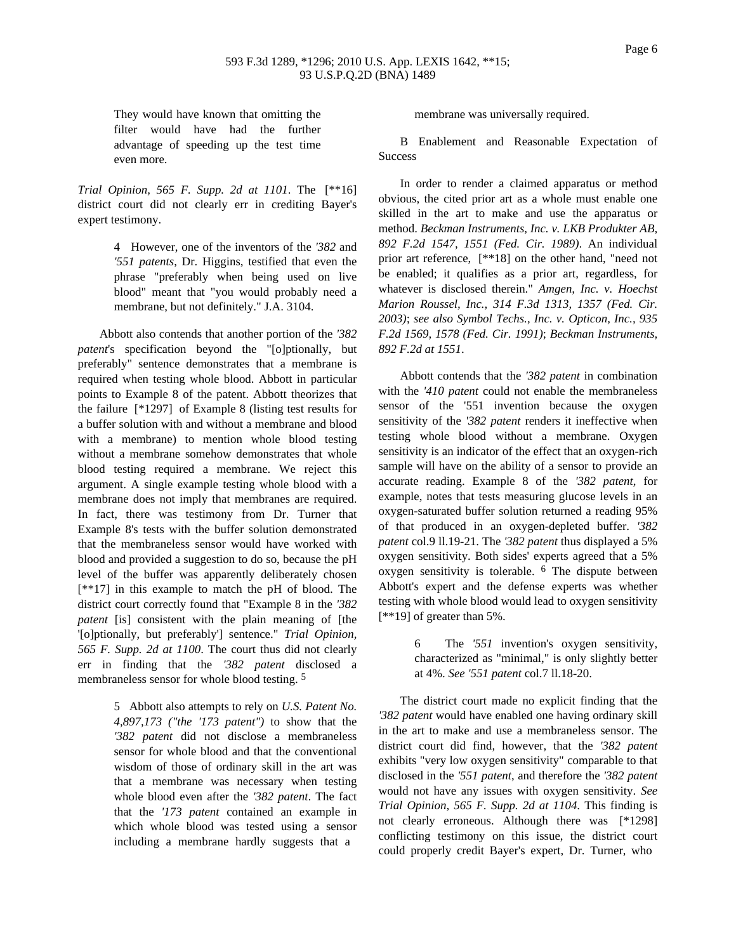### 593 F.3d 1289, \*1296; 2010 U.S. App. LEXIS 1642, \*\*15; 93 U.S.P.Q.2D (BNA) 1489

They would have known that omitting the filter would have had the further advantage of speeding up the test time even more.

*Trial Opinion, 565 F. Supp. 2d at 1101*. The [\*\*16] district court did not clearly err in crediting Bayer's expert testimony.

> 4 However, one of the inventors of the *'382* and *'551 patents*, Dr. Higgins, testified that even the phrase "preferably when being used on live blood" meant that "you would probably need a membrane, but not definitely." J.A. 3104.

Abbott also contends that another portion of the *'382 patent*'s specification beyond the "[o]ptionally, but preferably" sentence demonstrates that a membrane is required when testing whole blood. Abbott in particular points to Example 8 of the patent. Abbott theorizes that the failure [\*1297] of Example 8 (listing test results for a buffer solution with and without a membrane and blood with a membrane) to mention whole blood testing without a membrane somehow demonstrates that whole blood testing required a membrane. We reject this argument. A single example testing whole blood with a membrane does not imply that membranes are required. In fact, there was testimony from Dr. Turner that Example 8's tests with the buffer solution demonstrated that the membraneless sensor would have worked with blood and provided a suggestion to do so, because the pH level of the buffer was apparently deliberately chosen [\*\*17] in this example to match the pH of blood. The district court correctly found that "Example 8 in the *'382 patent* [is] consistent with the plain meaning of [the '[o]ptionally, but preferably'] sentence." *Trial Opinion, 565 F. Supp. 2d at 1100*. The court thus did not clearly err in finding that the *'382 patent* disclosed a membraneless sensor for whole blood testing. 5

> 5 Abbott also attempts to rely on *U.S. Patent No. 4,897,173 ("the '173 patent")* to show that the *'382 patent* did not disclose a membraneless sensor for whole blood and that the conventional wisdom of those of ordinary skill in the art was that a membrane was necessary when testing whole blood even after the *'382 patent*. The fact that the *'173 patent* contained an example in which whole blood was tested using a sensor including a membrane hardly suggests that a

membrane was universally required.

B Enablement and Reasonable Expectation of **Success** 

In order to render a claimed apparatus or method obvious, the cited prior art as a whole must enable one skilled in the art to make and use the apparatus or method. *Beckman Instruments, Inc. v. LKB Produkter AB, 892 F.2d 1547, 1551 (Fed. Cir. 1989)*. An individual prior art reference, [\*\*18] on the other hand, "need not be enabled; it qualifies as a prior art, regardless, for whatever is disclosed therein." *Amgen, Inc. v. Hoechst Marion Roussel, Inc., 314 F.3d 1313, 1357 (Fed. Cir. 2003)*; *see also Symbol Techs., Inc. v. Opticon, Inc., 935 F.2d 1569, 1578 (Fed. Cir. 1991)*; *Beckman Instruments, 892 F.2d at 1551*.

Abbott contends that the *'382 patent* in combination with the *'410 patent* could not enable the membraneless sensor of the '551 invention because the oxygen sensitivity of the *'382 patent* renders it ineffective when testing whole blood without a membrane. Oxygen sensitivity is an indicator of the effect that an oxygen-rich sample will have on the ability of a sensor to provide an accurate reading. Example 8 of the *'382 patent*, for example, notes that tests measuring glucose levels in an oxygen-saturated buffer solution returned a reading 95% of that produced in an oxygen-depleted buffer. *'382 patent* col.9 ll.19-21. The *'382 patent* thus displayed a 5% oxygen sensitivity. Both sides' experts agreed that a 5% oxygen sensitivity is tolerable. 6 The dispute between Abbott's expert and the defense experts was whether testing with whole blood would lead to oxygen sensitivity [\*\*19] of greater than 5%.

> 6 The *'551* invention's oxygen sensitivity, characterized as "minimal," is only slightly better at 4%. *See '551 patent* col.7 ll.18-20.

The district court made no explicit finding that the *'382 patent* would have enabled one having ordinary skill in the art to make and use a membraneless sensor. The district court did find, however, that the *'382 patent* exhibits "very low oxygen sensitivity" comparable to that disclosed in the *'551 patent*, and therefore the *'382 patent* would not have any issues with oxygen sensitivity. *See Trial Opinion, 565 F. Supp. 2d at 1104*. This finding is not clearly erroneous. Although there was [\*1298] conflicting testimony on this issue, the district court could properly credit Bayer's expert, Dr. Turner, who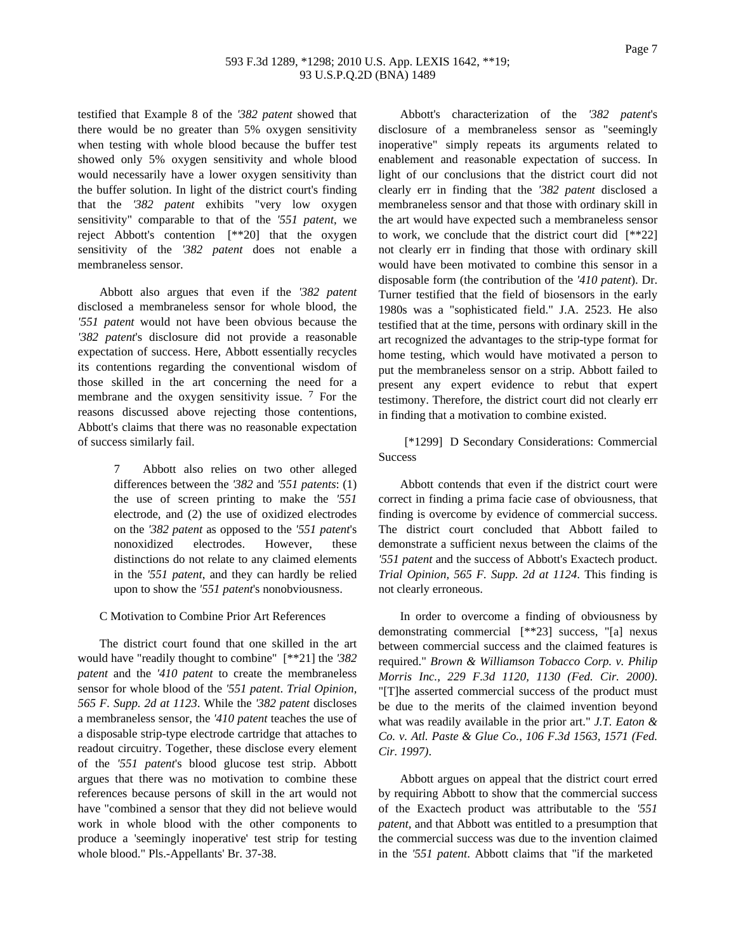## 593 F.3d 1289, \*1298; 2010 U.S. App. LEXIS 1642, \*\*19; 93 U.S.P.Q.2D (BNA) 1489

testified that Example 8 of the *'382 patent* showed that there would be no greater than 5% oxygen sensitivity when testing with whole blood because the buffer test showed only 5% oxygen sensitivity and whole blood would necessarily have a lower oxygen sensitivity than the buffer solution. In light of the district court's finding that the *'382 patent* exhibits "very low oxygen sensitivity" comparable to that of the *'551 patent*, we reject Abbott's contention [\*\*20] that the oxygen sensitivity of the *'382 patent* does not enable a membraneless sensor.

Abbott also argues that even if the *'382 patent* disclosed a membraneless sensor for whole blood, the *'551 patent* would not have been obvious because the *'382 patent*'s disclosure did not provide a reasonable expectation of success. Here, Abbott essentially recycles its contentions regarding the conventional wisdom of those skilled in the art concerning the need for a membrane and the oxygen sensitivity issue.  $7$  For the reasons discussed above rejecting those contentions, Abbott's claims that there was no reasonable expectation of success similarly fail.

> 7 Abbott also relies on two other alleged differences between the *'382* and *'551 patents*: (1) the use of screen printing to make the *'551* electrode, and (2) the use of oxidized electrodes on the *'382 patent* as opposed to the *'551 patent*'s nonoxidized electrodes. However, these distinctions do not relate to any claimed elements in the *'551 patent*, and they can hardly be relied upon to show the *'551 patent*'s nonobviousness.

C Motivation to Combine Prior Art References

The district court found that one skilled in the art would have "readily thought to combine" [\*\*21] the *'382 patent* and the *'410 patent* to create the membraneless sensor for whole blood of the *'551 patent*. *Trial Opinion, 565 F. Supp. 2d at 1123*. While the *'382 patent* discloses a membraneless sensor, the *'410 patent* teaches the use of a disposable strip-type electrode cartridge that attaches to readout circuitry. Together, these disclose every element of the *'551 patent*'s blood glucose test strip. Abbott argues that there was no motivation to combine these references because persons of skill in the art would not have "combined a sensor that they did not believe would work in whole blood with the other components to produce a 'seemingly inoperative' test strip for testing whole blood." Pls.-Appellants' Br. 37-38.

Abbott's characterization of the *'382 patent*'s disclosure of a membraneless sensor as "seemingly inoperative" simply repeats its arguments related to enablement and reasonable expectation of success. In light of our conclusions that the district court did not clearly err in finding that the *'382 patent* disclosed a membraneless sensor and that those with ordinary skill in the art would have expected such a membraneless sensor to work, we conclude that the district court did [\*\*22] not clearly err in finding that those with ordinary skill would have been motivated to combine this sensor in a disposable form (the contribution of the *'410 patent*). Dr. Turner testified that the field of biosensors in the early 1980s was a "sophisticated field." J.A. 2523. He also testified that at the time, persons with ordinary skill in the art recognized the advantages to the strip-type format for home testing, which would have motivated a person to put the membraneless sensor on a strip. Abbott failed to present any expert evidence to rebut that expert testimony. Therefore, the district court did not clearly err in finding that a motivation to combine existed.

[\*1299] D Secondary Considerations: Commercial **Success** 

Abbott contends that even if the district court were correct in finding a prima facie case of obviousness, that finding is overcome by evidence of commercial success. The district court concluded that Abbott failed to demonstrate a sufficient nexus between the claims of the *'551 patent* and the success of Abbott's Exactech product. *Trial Opinion, 565 F. Supp. 2d at 1124*. This finding is not clearly erroneous.

In order to overcome a finding of obviousness by demonstrating commercial [\*\*23] success, "[a] nexus between commercial success and the claimed features is required." *Brown & Williamson Tobacco Corp. v. Philip Morris Inc., 229 F.3d 1120, 1130 (Fed. Cir. 2000)*. "[T]he asserted commercial success of the product must be due to the merits of the claimed invention beyond what was readily available in the prior art." *J.T. Eaton & Co. v. Atl. Paste & Glue Co., 106 F.3d 1563, 1571 (Fed. Cir. 1997)*.

Abbott argues on appeal that the district court erred by requiring Abbott to show that the commercial success of the Exactech product was attributable to the *'551 patent*, and that Abbott was entitled to a presumption that the commercial success was due to the invention claimed in the *'551 patent*. Abbott claims that "if the marketed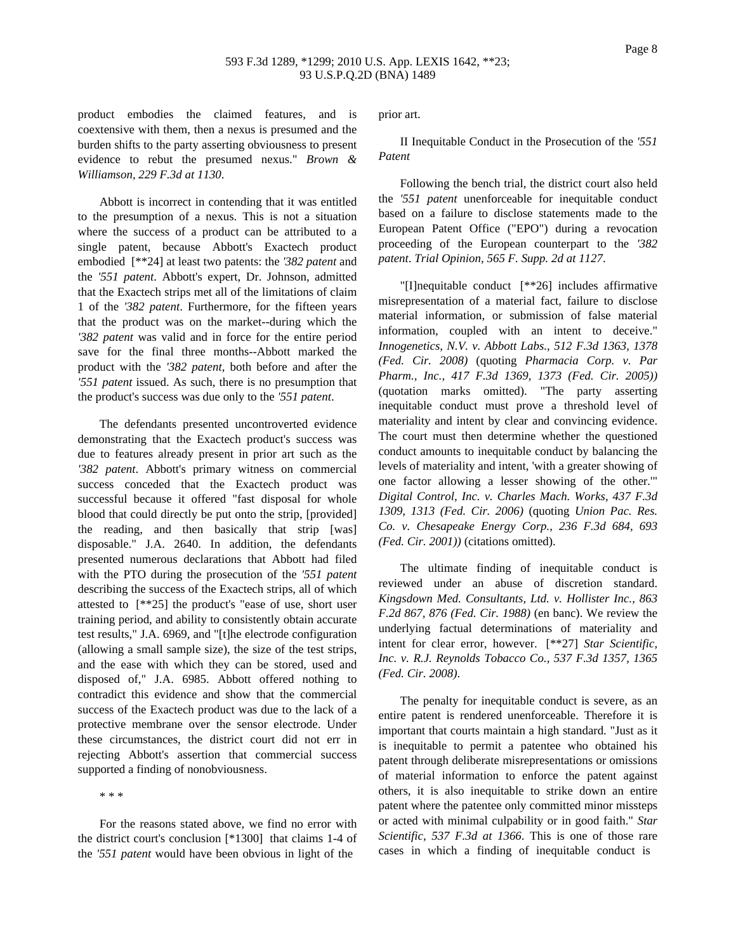Page 8

product embodies the claimed features, and is coextensive with them, then a nexus is presumed and the burden shifts to the party asserting obviousness to present evidence to rebut the presumed nexus." *Brown & Williamson, 229 F.3d at 1130*.

Abbott is incorrect in contending that it was entitled to the presumption of a nexus. This is not a situation where the success of a product can be attributed to a single patent, because Abbott's Exactech product embodied [\*\*24] at least two patents: the *'382 patent* and the *'551 patent*. Abbott's expert, Dr. Johnson, admitted that the Exactech strips met all of the limitations of claim 1 of the *'382 patent*. Furthermore, for the fifteen years that the product was on the market--during which the *'382 patent* was valid and in force for the entire period save for the final three months--Abbott marked the product with the *'382 patent*, both before and after the *'551 patent* issued. As such, there is no presumption that the product's success was due only to the *'551 patent*.

The defendants presented uncontroverted evidence demonstrating that the Exactech product's success was due to features already present in prior art such as the *'382 patent*. Abbott's primary witness on commercial success conceded that the Exactech product was successful because it offered "fast disposal for whole blood that could directly be put onto the strip, [provided] the reading, and then basically that strip [was] disposable." J.A. 2640. In addition, the defendants presented numerous declarations that Abbott had filed with the PTO during the prosecution of the *'551 patent* describing the success of the Exactech strips, all of which attested to [\*\*25] the product's "ease of use, short user training period, and ability to consistently obtain accurate test results," J.A. 6969, and "[t]he electrode configuration (allowing a small sample size), the size of the test strips, and the ease with which they can be stored, used and disposed of," J.A. 6985. Abbott offered nothing to contradict this evidence and show that the commercial success of the Exactech product was due to the lack of a protective membrane over the sensor electrode. Under these circumstances, the district court did not err in rejecting Abbott's assertion that commercial success supported a finding of nonobviousness.

\* \* \*

For the reasons stated above, we find no error with the district court's conclusion [\*1300] that claims 1-4 of the *'551 patent* would have been obvious in light of the

prior art.

II Inequitable Conduct in the Prosecution of the *'551 Patent*

Following the bench trial, the district court also held the *'551 patent* unenforceable for inequitable conduct based on a failure to disclose statements made to the European Patent Office ("EPO") during a revocation proceeding of the European counterpart to the *'382 patent*. *Trial Opinion, 565 F. Supp. 2d at 1127*.

"[I]nequitable conduct [\*\*26] includes affirmative misrepresentation of a material fact, failure to disclose material information, or submission of false material information, coupled with an intent to deceive." *Innogenetics, N.V. v. Abbott Labs., 512 F.3d 1363, 1378 (Fed. Cir. 2008)* (quoting *Pharmacia Corp. v. Par Pharm., Inc., 417 F.3d 1369, 1373 (Fed. Cir. 2005))* (quotation marks omitted). "The party asserting inequitable conduct must prove a threshold level of materiality and intent by clear and convincing evidence. The court must then determine whether the questioned conduct amounts to inequitable conduct by balancing the levels of materiality and intent, 'with a greater showing of one factor allowing a lesser showing of the other.'" *Digital Control, Inc. v. Charles Mach. Works, 437 F.3d 1309, 1313 (Fed. Cir. 2006)* (quoting *Union Pac. Res. Co. v. Chesapeake Energy Corp., 236 F.3d 684, 693 (Fed. Cir. 2001))* (citations omitted).

The ultimate finding of inequitable conduct is reviewed under an abuse of discretion standard. *Kingsdown Med. Consultants, Ltd. v. Hollister Inc., 863 F.2d 867, 876 (Fed. Cir. 1988)* (en banc). We review the underlying factual determinations of materiality and intent for clear error, however. [\*\*27] *Star Scientific, Inc. v. R.J. Reynolds Tobacco Co., 537 F.3d 1357, 1365 (Fed. Cir. 2008)*.

The penalty for inequitable conduct is severe, as an entire patent is rendered unenforceable. Therefore it is important that courts maintain a high standard. "Just as it is inequitable to permit a patentee who obtained his patent through deliberate misrepresentations or omissions of material information to enforce the patent against others, it is also inequitable to strike down an entire patent where the patentee only committed minor missteps or acted with minimal culpability or in good faith." *Star Scientific, 537 F.3d at 1366*. This is one of those rare cases in which a finding of inequitable conduct is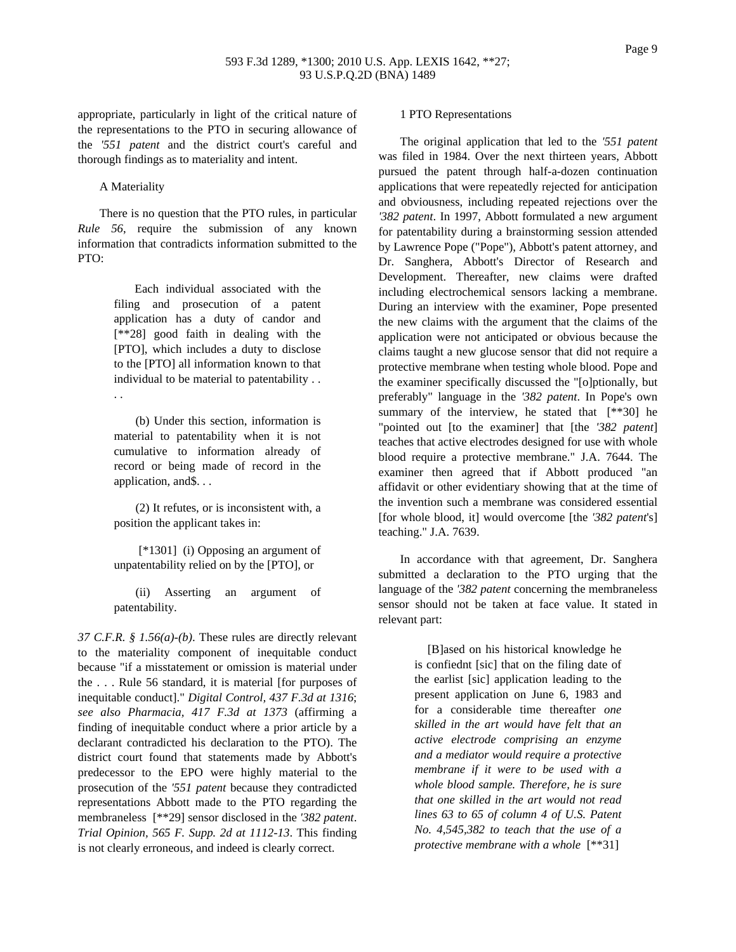appropriate, particularly in light of the critical nature of the representations to the PTO in securing allowance of the *'551 patent* and the district court's careful and thorough findings as to materiality and intent.

A Materiality

There is no question that the PTO rules, in particular *Rule 56*, require the submission of any known information that contradicts information submitted to the PTO:

> Each individual associated with the filing and prosecution of a patent application has a duty of candor and [\*\*28] good faith in dealing with the [PTO], which includes a duty to disclose to the [PTO] all information known to that individual to be material to patentability . . . .

> (b) Under this section, information is material to patentability when it is not cumulative to information already of record or being made of record in the application, and\$. . .

(2) It refutes, or is inconsistent with, a position the applicant takes in:

[\*1301] (i) Opposing an argument of unpatentability relied on by the [PTO], or

(ii) Asserting an argument of patentability.

*37 C.F.R. § 1.56(a)-(b)*. These rules are directly relevant to the materiality component of inequitable conduct because "if a misstatement or omission is material under the . . . Rule 56 standard, it is material [for purposes of inequitable conduct]." *Digital Control, 437 F.3d at 1316*; *see also Pharmacia, 417 F.3d at 1373* (affirming a finding of inequitable conduct where a prior article by a declarant contradicted his declaration to the PTO). The district court found that statements made by Abbott's predecessor to the EPO were highly material to the prosecution of the *'551 patent* because they contradicted representations Abbott made to the PTO regarding the membraneless [\*\*29] sensor disclosed in the *'382 patent*. *Trial Opinion, 565 F. Supp. 2d at 1112-13*. This finding is not clearly erroneous, and indeed is clearly correct.

#### 1 PTO Representations

The original application that led to the *'551 patent* was filed in 1984. Over the next thirteen years, Abbott pursued the patent through half-a-dozen continuation applications that were repeatedly rejected for anticipation and obviousness, including repeated rejections over the *'382 patent*. In 1997, Abbott formulated a new argument for patentability during a brainstorming session attended by Lawrence Pope ("Pope"), Abbott's patent attorney, and Dr. Sanghera, Abbott's Director of Research and Development. Thereafter, new claims were drafted including electrochemical sensors lacking a membrane. During an interview with the examiner, Pope presented the new claims with the argument that the claims of the application were not anticipated or obvious because the claims taught a new glucose sensor that did not require a protective membrane when testing whole blood. Pope and the examiner specifically discussed the "[o]ptionally, but preferably" language in the *'382 patent*. In Pope's own summary of the interview, he stated that  $[**30]$  he "pointed out [to the examiner] that [the *'382 patent*] teaches that active electrodes designed for use with whole blood require a protective membrane." J.A. 7644. The examiner then agreed that if Abbott produced "an affidavit or other evidentiary showing that at the time of the invention such a membrane was considered essential [for whole blood, it] would overcome [the *'382 patent*'s] teaching." J.A. 7639.

In accordance with that agreement, Dr. Sanghera submitted a declaration to the PTO urging that the language of the *'382 patent* concerning the membraneless sensor should not be taken at face value. It stated in relevant part:

> [B]ased on his historical knowledge he is confiednt [sic] that on the filing date of the earlist [sic] application leading to the present application on June 6, 1983 and for a considerable time thereafter *one skilled in the art would have felt that an active electrode comprising an enzyme and a mediator would require a protective membrane if it were to be used with a whole blood sample. Therefore, he is sure that one skilled in the art would not read lines 63 to 65 of column 4 of U.S. Patent No. 4,545,382 to teach that the use of a protective membrane with a whole* [\*\*31]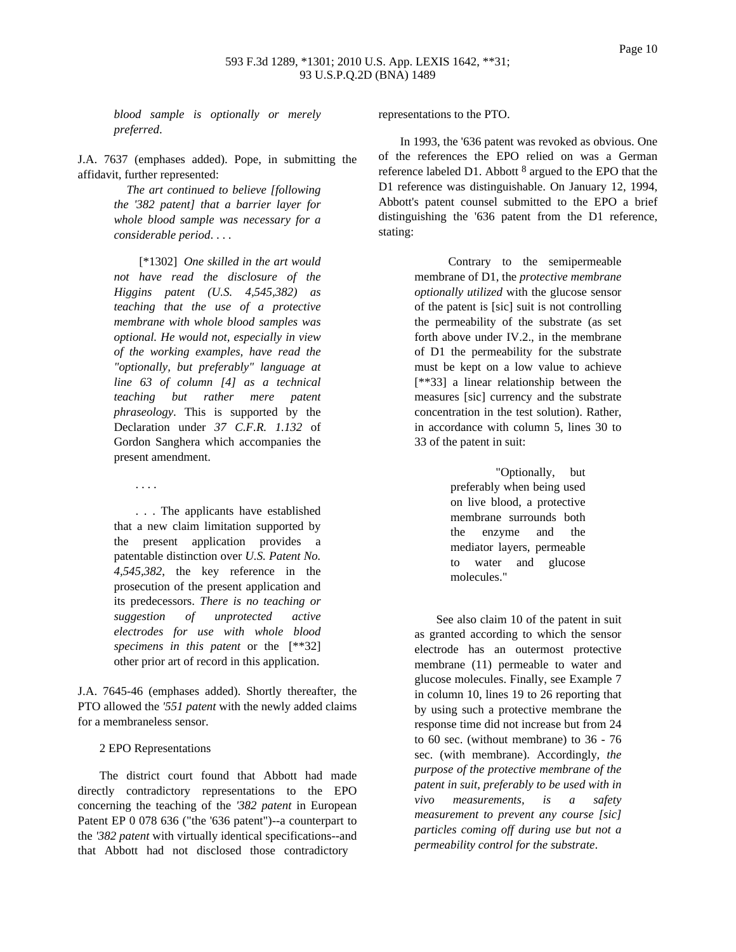*blood sample is optionally or merely preferred*.

J.A. 7637 (emphases added). Pope, in submitting the affidavit, further represented:

> *The art continued to believe [following the '382 patent] that a barrier layer for whole blood sample was necessary for a considerable period*. . . .

[\*1302] *One skilled in the art would not have read the disclosure of the Higgins patent (U.S. 4,545,382) as teaching that the use of a protective membrane with whole blood samples was optional. He would not, especially in view of the working examples, have read the "optionally, but preferably" language at line 63 of column [4] as a technical teaching but rather mere patent phraseology*. This is supported by the Declaration under *37 C.F.R. 1.132* of Gordon Sanghera which accompanies the present amendment.

. . . The applicants have established that a new claim limitation supported by the present application provides a patentable distinction over *U.S. Patent No. 4,545,382*, the key reference in the prosecution of the present application and its predecessors. *There is no teaching or suggestion of unprotected active electrodes for use with whole blood specimens in this patent* or the [\*\*32] other prior art of record in this application.

J.A. 7645-46 (emphases added). Shortly thereafter, the PTO allowed the *'551 patent* with the newly added claims for a membraneless sensor.

2 EPO Representations

. . . .

The district court found that Abbott had made directly contradictory representations to the EPO concerning the teaching of the *'382 patent* in European Patent EP 0 078 636 ("the '636 patent")--a counterpart to the *'382 patent* with virtually identical specifications--and that Abbott had not disclosed those contradictory

representations to the PTO.

In 1993, the '636 patent was revoked as obvious. One of the references the EPO relied on was a German reference labeled D1. Abbott 8 argued to the EPO that the D1 reference was distinguishable. On January 12, 1994, Abbott's patent counsel submitted to the EPO a brief distinguishing the '636 patent from the D1 reference, stating:

> Contrary to the semipermeable membrane of D1, the *protective membrane optionally utilized* with the glucose sensor of the patent is [sic] suit is not controlling the permeability of the substrate (as set forth above under IV.2., in the membrane of D1 the permeability for the substrate must be kept on a low value to achieve [\*\*33] a linear relationship between the measures [sic] currency and the substrate concentration in the test solution). Rather, in accordance with column 5, lines 30 to 33 of the patent in suit:

> > "Optionally, but preferably when being used on live blood, a protective membrane surrounds both the enzyme and the mediator layers, permeable to water and glucose molecules."

See also claim 10 of the patent in suit as granted according to which the sensor electrode has an outermost protective membrane (11) permeable to water and glucose molecules. Finally, see Example 7 in column 10, lines 19 to 26 reporting that by using such a protective membrane the response time did not increase but from 24 to 60 sec. (without membrane) to 36 - 76 sec. (with membrane). Accordingly, *the purpose of the protective membrane of the patent in suit, preferably to be used with in vivo measurements, is a safety measurement to prevent any course [sic] particles coming off during use but not a permeability control for the substrate*.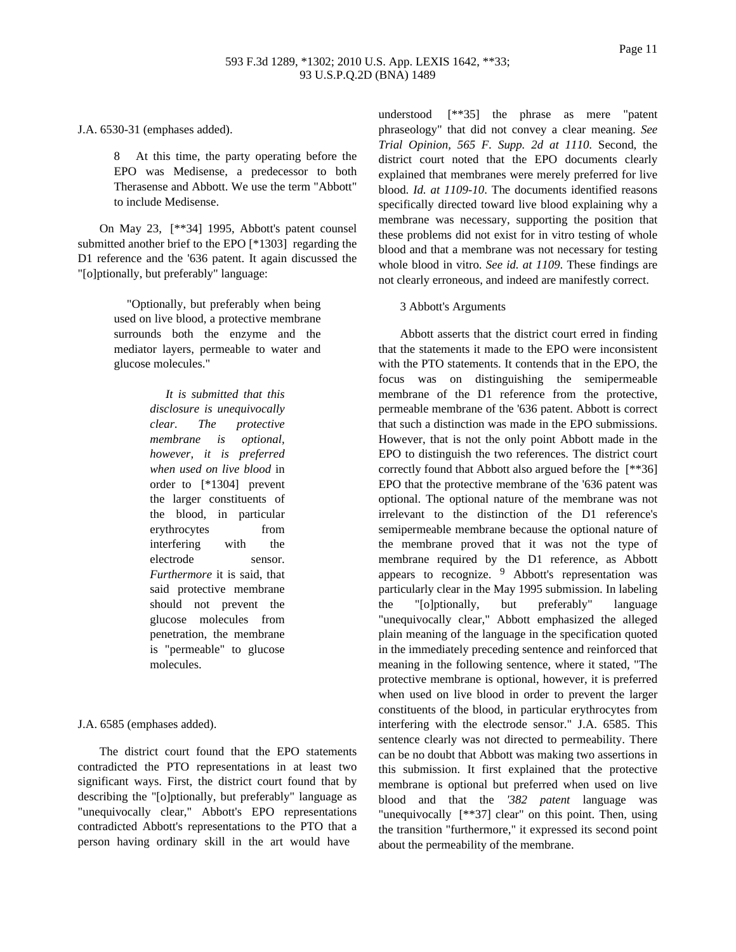J.A. 6530-31 (emphases added).

8 At this time, the party operating before the EPO was Medisense, a predecessor to both Therasense and Abbott. We use the term "Abbott" to include Medisense.

On May 23, [\*\*34] 1995, Abbott's patent counsel submitted another brief to the EPO [\*1303] regarding the D1 reference and the '636 patent. It again discussed the "[o]ptionally, but preferably" language:

> "Optionally, but preferably when being used on live blood, a protective membrane surrounds both the enzyme and the mediator layers, permeable to water and glucose molecules."

> > *It is submitted that this disclosure is unequivocally clear. The protective membrane is optional, however, it is preferred when used on live blood* in order to [\*1304] prevent the larger constituents of the blood, in particular erythrocytes from interfering with the electrode sensor. *Furthermore* it is said, that said protective membrane should not prevent the glucose molecules from penetration, the membrane is "permeable" to glucose molecules.

J.A. 6585 (emphases added).

The district court found that the EPO statements contradicted the PTO representations in at least two significant ways. First, the district court found that by describing the "[o]ptionally, but preferably" language as "unequivocally clear," Abbott's EPO representations contradicted Abbott's representations to the PTO that a person having ordinary skill in the art would have

understood [\*\*35] the phrase as mere "patent phraseology" that did not convey a clear meaning. *See Trial Opinion, 565 F. Supp. 2d at 1110*. Second, the district court noted that the EPO documents clearly explained that membranes were merely preferred for live blood. *Id. at 1109-10*. The documents identified reasons specifically directed toward live blood explaining why a membrane was necessary, supporting the position that these problems did not exist for in vitro testing of whole blood and that a membrane was not necessary for testing whole blood in vitro. *See id. at 1109*. These findings are not clearly erroneous, and indeed are manifestly correct.

#### 3 Abbott's Arguments

Abbott asserts that the district court erred in finding that the statements it made to the EPO were inconsistent with the PTO statements. It contends that in the EPO, the focus was on distinguishing the semipermeable membrane of the D1 reference from the protective, permeable membrane of the '636 patent. Abbott is correct that such a distinction was made in the EPO submissions. However, that is not the only point Abbott made in the EPO to distinguish the two references. The district court correctly found that Abbott also argued before the [\*\*36] EPO that the protective membrane of the '636 patent was optional. The optional nature of the membrane was not irrelevant to the distinction of the D1 reference's semipermeable membrane because the optional nature of the membrane proved that it was not the type of membrane required by the D1 reference, as Abbott appears to recognize. 9 Abbott's representation was particularly clear in the May 1995 submission. In labeling the "[o]ptionally, but preferably" language "unequivocally clear," Abbott emphasized the alleged plain meaning of the language in the specification quoted in the immediately preceding sentence and reinforced that meaning in the following sentence, where it stated, "The protective membrane is optional, however, it is preferred when used on live blood in order to prevent the larger constituents of the blood, in particular erythrocytes from interfering with the electrode sensor." J.A. 6585. This sentence clearly was not directed to permeability. There can be no doubt that Abbott was making two assertions in this submission. It first explained that the protective membrane is optional but preferred when used on live blood and that the *'382 patent* language was "unequivocally [\*\*37] clear" on this point. Then, using the transition "furthermore," it expressed its second point about the permeability of the membrane.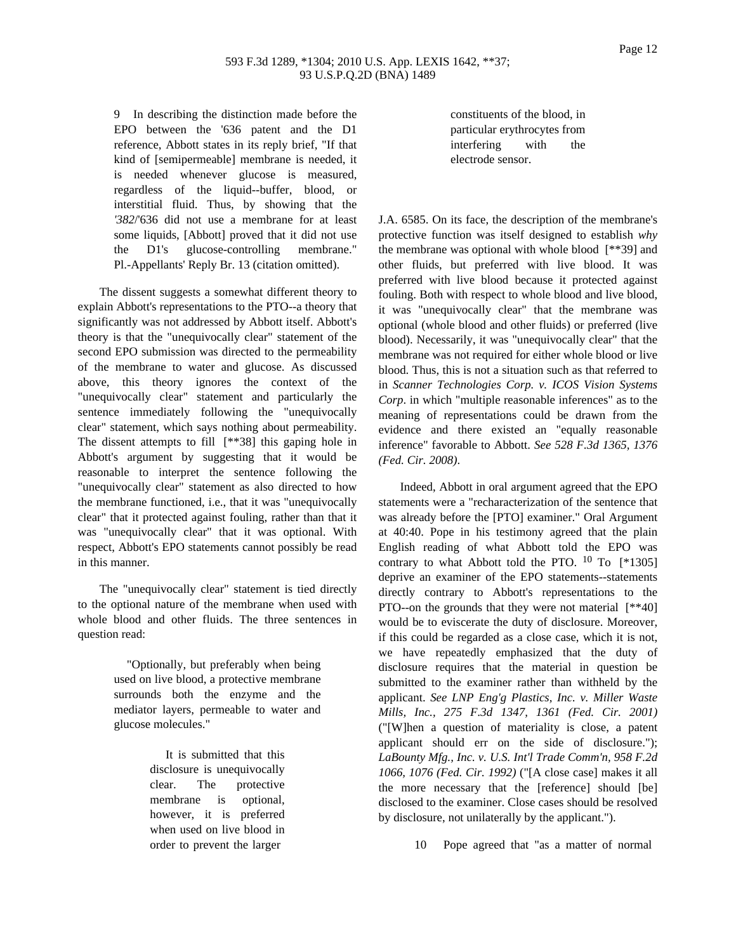### 593 F.3d 1289, \*1304; 2010 U.S. App. LEXIS 1642, \*\*37; 93 U.S.P.Q.2D (BNA) 1489

9 In describing the distinction made before the EPO between the '636 patent and the D1 reference, Abbott states in its reply brief, "If that kind of [semipermeable] membrane is needed, it is needed whenever glucose is measured, regardless of the liquid--buffer, blood, or interstitial fluid. Thus, by showing that the *'382*/'636 did not use a membrane for at least some liquids, [Abbott] proved that it did not use the D1's glucose-controlling membrane." Pl.-Appellants' Reply Br. 13 (citation omitted).

The dissent suggests a somewhat different theory to explain Abbott's representations to the PTO--a theory that significantly was not addressed by Abbott itself. Abbott's theory is that the "unequivocally clear" statement of the second EPO submission was directed to the permeability of the membrane to water and glucose. As discussed above, this theory ignores the context of the "unequivocally clear" statement and particularly the sentence immediately following the "unequivocally clear" statement, which says nothing about permeability. The dissent attempts to fill [\*\*38] this gaping hole in Abbott's argument by suggesting that it would be reasonable to interpret the sentence following the "unequivocally clear" statement as also directed to how the membrane functioned, i.e., that it was "unequivocally clear" that it protected against fouling, rather than that it was "unequivocally clear" that it was optional. With respect, Abbott's EPO statements cannot possibly be read in this manner.

The "unequivocally clear" statement is tied directly to the optional nature of the membrane when used with whole blood and other fluids. The three sentences in question read:

> "Optionally, but preferably when being used on live blood, a protective membrane surrounds both the enzyme and the mediator layers, permeable to water and glucose molecules."

> > It is submitted that this disclosure is unequivocally clear. The protective membrane is optional, however, it is preferred when used on live blood in order to prevent the larger

constituents of the blood, in particular erythrocytes from interfering with the electrode sensor.

J.A. 6585. On its face, the description of the membrane's protective function was itself designed to establish *why* the membrane was optional with whole blood [\*\*39] and other fluids, but preferred with live blood. It was preferred with live blood because it protected against fouling. Both with respect to whole blood and live blood, it was "unequivocally clear" that the membrane was optional (whole blood and other fluids) or preferred (live blood). Necessarily, it was "unequivocally clear" that the membrane was not required for either whole blood or live blood. Thus, this is not a situation such as that referred to in *Scanner Technologies Corp. v. ICOS Vision Systems Corp*. in which "multiple reasonable inferences" as to the meaning of representations could be drawn from the evidence and there existed an "equally reasonable inference" favorable to Abbott. *See 528 F.3d 1365, 1376 (Fed. Cir. 2008)*.

Indeed, Abbott in oral argument agreed that the EPO statements were a "recharacterization of the sentence that was already before the [PTO] examiner." Oral Argument at 40:40. Pope in his testimony agreed that the plain English reading of what Abbott told the EPO was contrary to what Abbott told the PTO.  $10$  To  $[*1305]$ deprive an examiner of the EPO statements--statements directly contrary to Abbott's representations to the PTO--on the grounds that they were not material  $[$ \*40] would be to eviscerate the duty of disclosure. Moreover, if this could be regarded as a close case, which it is not, we have repeatedly emphasized that the duty of disclosure requires that the material in question be submitted to the examiner rather than withheld by the applicant. *See LNP Eng'g Plastics, Inc. v. Miller Waste Mills, Inc., 275 F.3d 1347, 1361 (Fed. Cir. 2001)* ("[W]hen a question of materiality is close, a patent applicant should err on the side of disclosure."); *LaBounty Mfg., Inc. v. U.S. Int'l Trade Comm'n, 958 F.2d 1066, 1076 (Fed. Cir. 1992)* ("[A close case] makes it all the more necessary that the [reference] should [be] disclosed to the examiner. Close cases should be resolved by disclosure, not unilaterally by the applicant.").

10 Pope agreed that "as a matter of normal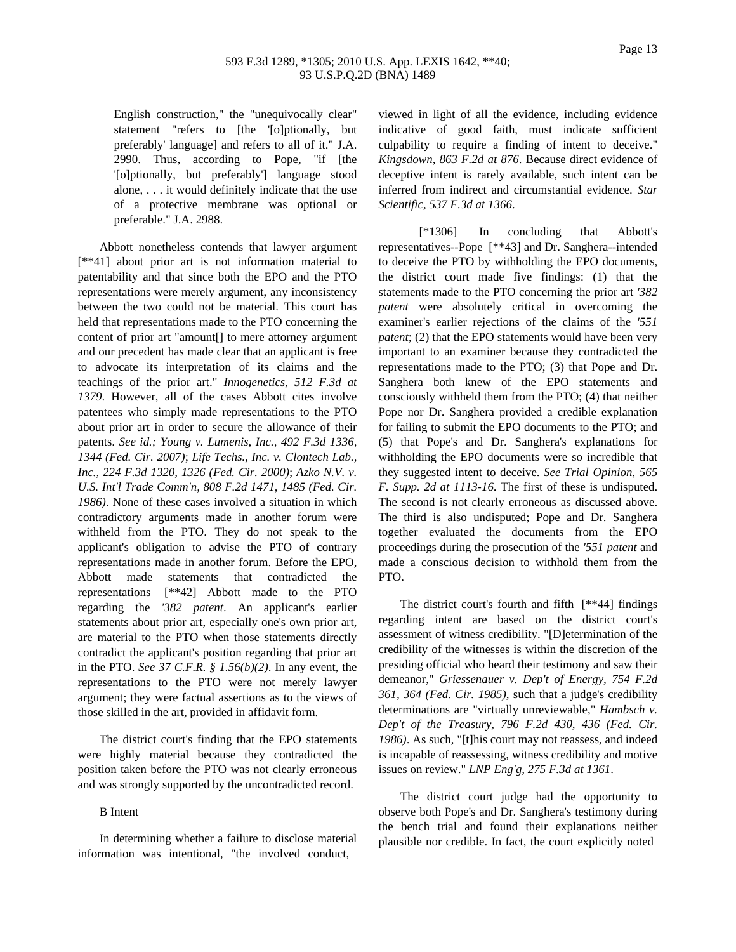## 593 F.3d 1289, \*1305; 2010 U.S. App. LEXIS 1642, \*\*40; 93 U.S.P.Q.2D (BNA) 1489

English construction," the "unequivocally clear" statement "refers to [the '[o]ptionally, but preferably' language] and refers to all of it." J.A. 2990. Thus, according to Pope, "if [the '[o]ptionally, but preferably'] language stood alone, . . . it would definitely indicate that the use of a protective membrane was optional or preferable." J.A. 2988.

Abbott nonetheless contends that lawyer argument [\*\*41] about prior art is not information material to patentability and that since both the EPO and the PTO representations were merely argument, any inconsistency between the two could not be material. This court has held that representations made to the PTO concerning the content of prior art "amount[] to mere attorney argument and our precedent has made clear that an applicant is free to advocate its interpretation of its claims and the teachings of the prior art." *Innogenetics, 512 F.3d at 1379*. However, all of the cases Abbott cites involve patentees who simply made representations to the PTO about prior art in order to secure the allowance of their patents. *See id.; Young v. Lumenis, Inc., 492 F.3d 1336, 1344 (Fed. Cir. 2007)*; *Life Techs., Inc. v. Clontech Lab., Inc., 224 F.3d 1320, 1326 (Fed. Cir. 2000)*; *Azko N.V. v. U.S. Int'l Trade Comm'n, 808 F.2d 1471, 1485 (Fed. Cir. 1986)*. None of these cases involved a situation in which contradictory arguments made in another forum were withheld from the PTO. They do not speak to the applicant's obligation to advise the PTO of contrary representations made in another forum. Before the EPO, Abbott made statements that contradicted the representations [\*\*42] Abbott made to the PTO regarding the *'382 patent*. An applicant's earlier statements about prior art, especially one's own prior art, are material to the PTO when those statements directly contradict the applicant's position regarding that prior art in the PTO. *See 37 C.F.R. § 1.56(b)(2)*. In any event, the representations to the PTO were not merely lawyer argument; they were factual assertions as to the views of those skilled in the art, provided in affidavit form.

The district court's finding that the EPO statements were highly material because they contradicted the position taken before the PTO was not clearly erroneous and was strongly supported by the uncontradicted record.

#### B Intent

In determining whether a failure to disclose material information was intentional, "the involved conduct,

viewed in light of all the evidence, including evidence indicative of good faith, must indicate sufficient culpability to require a finding of intent to deceive." *Kingsdown, 863 F.2d at 876*. Because direct evidence of deceptive intent is rarely available, such intent can be inferred from indirect and circumstantial evidence. *Star Scientific, 537 F.3d at 1366*.

[\*1306] In concluding that Abbott's representatives--Pope [\*\*43] and Dr. Sanghera--intended to deceive the PTO by withholding the EPO documents, the district court made five findings: (1) that the statements made to the PTO concerning the prior art *'382 patent* were absolutely critical in overcoming the examiner's earlier rejections of the claims of the *'551 patent*; (2) that the EPO statements would have been very important to an examiner because they contradicted the representations made to the PTO; (3) that Pope and Dr. Sanghera both knew of the EPO statements and consciously withheld them from the PTO; (4) that neither Pope nor Dr. Sanghera provided a credible explanation for failing to submit the EPO documents to the PTO; and (5) that Pope's and Dr. Sanghera's explanations for withholding the EPO documents were so incredible that they suggested intent to deceive. *See Trial Opinion, 565 F. Supp. 2d at 1113-16*. The first of these is undisputed. The second is not clearly erroneous as discussed above. The third is also undisputed; Pope and Dr. Sanghera together evaluated the documents from the EPO proceedings during the prosecution of the *'551 patent* and made a conscious decision to withhold them from the PTO.

The district court's fourth and fifth [\*\*44] findings regarding intent are based on the district court's assessment of witness credibility. "[D]etermination of the credibility of the witnesses is within the discretion of the presiding official who heard their testimony and saw their demeanor," *Griessenauer v. Dep't of Energy, 754 F.2d 361, 364 (Fed. Cir. 1985)*, such that a judge's credibility determinations are "virtually unreviewable," *Hambsch v. Dep't of the Treasury, 796 F.2d 430, 436 (Fed. Cir. 1986)*. As such, "[t]his court may not reassess, and indeed is incapable of reassessing, witness credibility and motive issues on review." *LNP Eng'g, 275 F.3d at 1361*.

The district court judge had the opportunity to observe both Pope's and Dr. Sanghera's testimony during the bench trial and found their explanations neither plausible nor credible. In fact, the court explicitly noted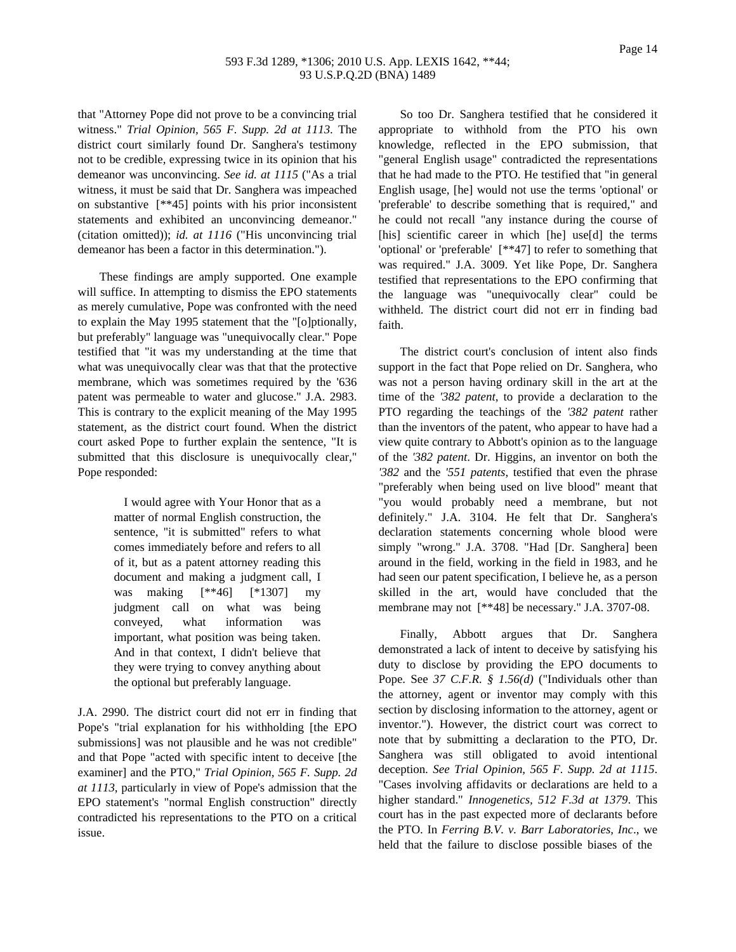that "Attorney Pope did not prove to be a convincing trial witness." *Trial Opinion, 565 F. Supp. 2d at 1113*. The district court similarly found Dr. Sanghera's testimony not to be credible, expressing twice in its opinion that his demeanor was unconvincing. *See id. at 1115* ("As a trial witness, it must be said that Dr. Sanghera was impeached on substantive [\*\*45] points with his prior inconsistent statements and exhibited an unconvincing demeanor." (citation omitted)); *id. at 1116* ("His unconvincing trial demeanor has been a factor in this determination.").

These findings are amply supported. One example will suffice. In attempting to dismiss the EPO statements as merely cumulative, Pope was confronted with the need to explain the May 1995 statement that the "[o]ptionally, but preferably" language was "unequivocally clear." Pope testified that "it was my understanding at the time that what was unequivocally clear was that that the protective membrane, which was sometimes required by the '636 patent was permeable to water and glucose." J.A. 2983. This is contrary to the explicit meaning of the May 1995 statement, as the district court found. When the district court asked Pope to further explain the sentence, "It is submitted that this disclosure is unequivocally clear," Pope responded:

> I would agree with Your Honor that as a matter of normal English construction, the sentence, "it is submitted" refers to what comes immediately before and refers to all of it, but as a patent attorney reading this document and making a judgment call, I was making [\*\*46] [\*1307] my judgment call on what was being conveyed, what information was important, what position was being taken. And in that context, I didn't believe that they were trying to convey anything about the optional but preferably language.

J.A. 2990. The district court did not err in finding that Pope's "trial explanation for his withholding [the EPO submissions] was not plausible and he was not credible" and that Pope "acted with specific intent to deceive [the examiner] and the PTO," *Trial Opinion, 565 F. Supp. 2d at 1113*, particularly in view of Pope's admission that the EPO statement's "normal English construction" directly contradicted his representations to the PTO on a critical issue.

So too Dr. Sanghera testified that he considered it appropriate to withhold from the PTO his own knowledge, reflected in the EPO submission, that "general English usage" contradicted the representations that he had made to the PTO. He testified that "in general English usage, [he] would not use the terms 'optional' or 'preferable' to describe something that is required," and he could not recall "any instance during the course of [his] scientific career in which [he] use[d] the terms 'optional' or 'preferable' [\*\*47] to refer to something that was required." J.A. 3009. Yet like Pope, Dr. Sanghera testified that representations to the EPO confirming that the language was "unequivocally clear" could be withheld. The district court did not err in finding bad faith.

The district court's conclusion of intent also finds support in the fact that Pope relied on Dr. Sanghera, who was not a person having ordinary skill in the art at the time of the *'382 patent*, to provide a declaration to the PTO regarding the teachings of the *'382 patent* rather than the inventors of the patent, who appear to have had a view quite contrary to Abbott's opinion as to the language of the *'382 patent*. Dr. Higgins, an inventor on both the *'382* and the *'551 patents*, testified that even the phrase "preferably when being used on live blood" meant that "you would probably need a membrane, but not definitely." J.A. 3104. He felt that Dr. Sanghera's declaration statements concerning whole blood were simply "wrong." J.A. 3708. "Had [Dr. Sanghera] been around in the field, working in the field in 1983, and he had seen our patent specification, I believe he, as a person skilled in the art, would have concluded that the membrane may not [\*\*48] be necessary." J.A. 3707-08.

Finally, Abbott argues that Dr. Sanghera demonstrated a lack of intent to deceive by satisfying his duty to disclose by providing the EPO documents to Pope. See *37 C.F.R. § 1.56(d)* ("Individuals other than the attorney, agent or inventor may comply with this section by disclosing information to the attorney, agent or inventor."). However, the district court was correct to note that by submitting a declaration to the PTO, Dr. Sanghera was still obligated to avoid intentional deception. *See Trial Opinion, 565 F. Supp. 2d at 1115*. "Cases involving affidavits or declarations are held to a higher standard." *Innogenetics, 512 F.3d at 1379*. This court has in the past expected more of declarants before the PTO. In *Ferring B.V. v. Barr Laboratories, Inc*., we held that the failure to disclose possible biases of the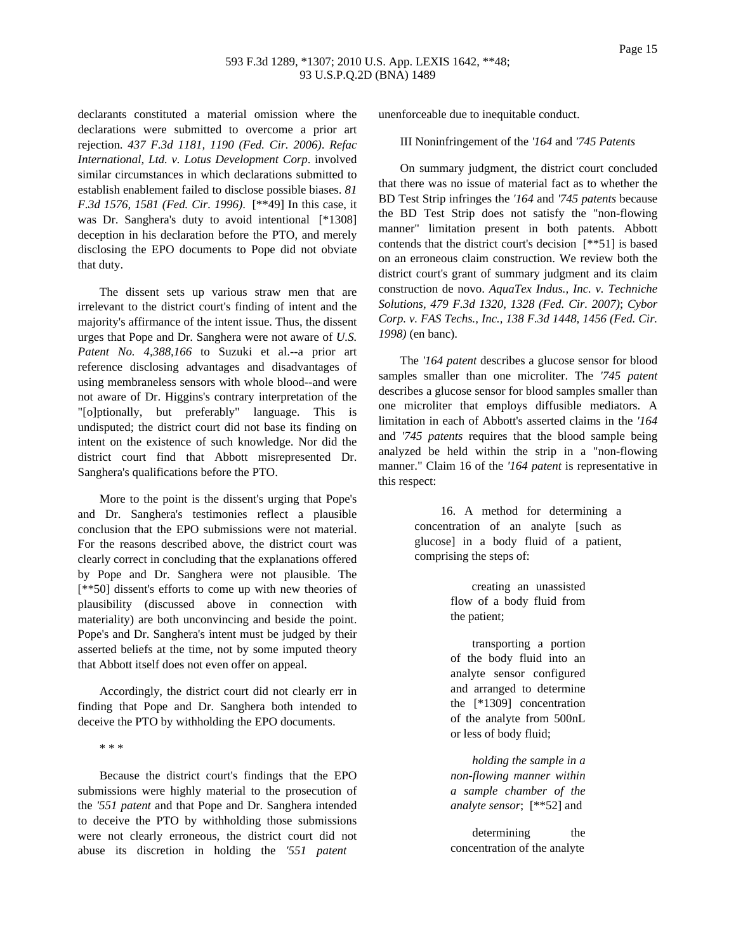## 593 F.3d 1289, \*1307; 2010 U.S. App. LEXIS 1642, \*\*48; 93 U.S.P.Q.2D (BNA) 1489

declarants constituted a material omission where the declarations were submitted to overcome a prior art rejection. *437 F.3d 1181, 1190 (Fed. Cir. 2006)*. *Refac International, Ltd. v. Lotus Development Corp*. involved similar circumstances in which declarations submitted to establish enablement failed to disclose possible biases. *81 F.3d 1576, 1581 (Fed. Cir. 1996)*. [\*\*49] In this case, it was Dr. Sanghera's duty to avoid intentional [\*1308] deception in his declaration before the PTO, and merely disclosing the EPO documents to Pope did not obviate that duty.

The dissent sets up various straw men that are irrelevant to the district court's finding of intent and the majority's affirmance of the intent issue. Thus, the dissent urges that Pope and Dr. Sanghera were not aware of *U.S. Patent No. 4,388,166* to Suzuki et al.--a prior art reference disclosing advantages and disadvantages of using membraneless sensors with whole blood--and were not aware of Dr. Higgins's contrary interpretation of the "[o]ptionally, but preferably" language. This is undisputed; the district court did not base its finding on intent on the existence of such knowledge. Nor did the district court find that Abbott misrepresented Dr. Sanghera's qualifications before the PTO.

More to the point is the dissent's urging that Pope's and Dr. Sanghera's testimonies reflect a plausible conclusion that the EPO submissions were not material. For the reasons described above, the district court was clearly correct in concluding that the explanations offered by Pope and Dr. Sanghera were not plausible. The [\*\*50] dissent's efforts to come up with new theories of plausibility (discussed above in connection with materiality) are both unconvincing and beside the point. Pope's and Dr. Sanghera's intent must be judged by their asserted beliefs at the time, not by some imputed theory that Abbott itself does not even offer on appeal.

Accordingly, the district court did not clearly err in finding that Pope and Dr. Sanghera both intended to deceive the PTO by withholding the EPO documents.

\* \* \*

Because the district court's findings that the EPO submissions were highly material to the prosecution of the *'551 patent* and that Pope and Dr. Sanghera intended to deceive the PTO by withholding those submissions were not clearly erroneous, the district court did not abuse its discretion in holding the *'551 patent*

unenforceable due to inequitable conduct.

III Noninfringement of the *'164* and *'745 Patents*

On summary judgment, the district court concluded that there was no issue of material fact as to whether the BD Test Strip infringes the *'164* and *'745 patents* because the BD Test Strip does not satisfy the "non-flowing manner" limitation present in both patents. Abbott contends that the district court's decision [\*\*51] is based on an erroneous claim construction. We review both the district court's grant of summary judgment and its claim construction de novo. *AquaTex Indus., Inc. v. Techniche Solutions, 479 F.3d 1320, 1328 (Fed. Cir. 2007)*; *Cybor Corp. v. FAS Techs., Inc., 138 F.3d 1448, 1456 (Fed. Cir. 1998)* (en banc).

The *'164 patent* describes a glucose sensor for blood samples smaller than one microliter. The *'745 patent* describes a glucose sensor for blood samples smaller than one microliter that employs diffusible mediators. A limitation in each of Abbott's asserted claims in the *'164* and *'745 patents* requires that the blood sample being analyzed be held within the strip in a "non-flowing manner." Claim 16 of the *'164 patent* is representative in this respect:

> 16. A method for determining a concentration of an analyte [such as glucose] in a body fluid of a patient, comprising the steps of:

> > creating an unassisted flow of a body fluid from the patient;

> > transporting a portion of the body fluid into an analyte sensor configured and arranged to determine the [\*1309] concentration of the analyte from 500nL or less of body fluid;

> > *holding the sample in a non-flowing manner within a sample chamber of the analyte sensor*; [\*\*52] and

> > determining the concentration of the analyte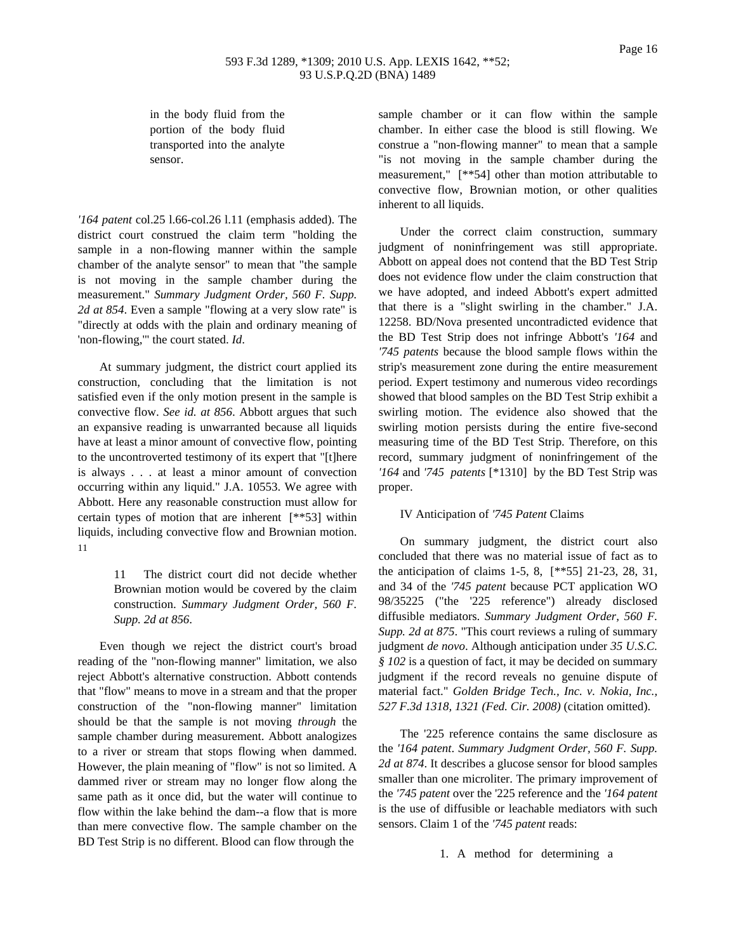## 593 F.3d 1289, \*1309; 2010 U.S. App. LEXIS 1642, \*\*52; 93 U.S.P.Q.2D (BNA) 1489

in the body fluid from the portion of the body fluid transported into the analyte sensor.

*'164 patent* col.25 l.66-col.26 l.11 (emphasis added). The district court construed the claim term "holding the sample in a non-flowing manner within the sample chamber of the analyte sensor" to mean that "the sample is not moving in the sample chamber during the measurement." *Summary Judgment Order, 560 F. Supp. 2d at 854*. Even a sample "flowing at a very slow rate" is "directly at odds with the plain and ordinary meaning of 'non-flowing,'" the court stated. *Id*.

At summary judgment, the district court applied its construction, concluding that the limitation is not satisfied even if the only motion present in the sample is convective flow. *See id. at 856*. Abbott argues that such an expansive reading is unwarranted because all liquids have at least a minor amount of convective flow, pointing to the uncontroverted testimony of its expert that "[t]here is always . . . at least a minor amount of convection occurring within any liquid." J.A. 10553. We agree with Abbott. Here any reasonable construction must allow for certain types of motion that are inherent [\*\*53] within liquids, including convective flow and Brownian motion. 11

> 11 The district court did not decide whether Brownian motion would be covered by the claim construction. *Summary Judgment Order, 560 F. Supp. 2d at 856*.

Even though we reject the district court's broad reading of the "non-flowing manner" limitation, we also reject Abbott's alternative construction. Abbott contends that "flow" means to move in a stream and that the proper construction of the "non-flowing manner" limitation should be that the sample is not moving *through* the sample chamber during measurement. Abbott analogizes to a river or stream that stops flowing when dammed. However, the plain meaning of "flow" is not so limited. A dammed river or stream may no longer flow along the same path as it once did, but the water will continue to flow within the lake behind the dam--a flow that is more than mere convective flow. The sample chamber on the BD Test Strip is no different. Blood can flow through the

sample chamber or it can flow within the sample chamber. In either case the blood is still flowing. We construe a "non-flowing manner" to mean that a sample "is not moving in the sample chamber during the measurement," [\*\*54] other than motion attributable to convective flow, Brownian motion, or other qualities inherent to all liquids.

Under the correct claim construction, summary judgment of noninfringement was still appropriate. Abbott on appeal does not contend that the BD Test Strip does not evidence flow under the claim construction that we have adopted, and indeed Abbott's expert admitted that there is a "slight swirling in the chamber." J.A. 12258. BD/Nova presented uncontradicted evidence that the BD Test Strip does not infringe Abbott's *'164* and *'745 patents* because the blood sample flows within the strip's measurement zone during the entire measurement period. Expert testimony and numerous video recordings showed that blood samples on the BD Test Strip exhibit a swirling motion. The evidence also showed that the swirling motion persists during the entire five-second measuring time of the BD Test Strip. Therefore, on this record, summary judgment of noninfringement of the *'164* and *'745 patents* [\*1310] by the BD Test Strip was proper.

### IV Anticipation of *'745 Patent* Claims

On summary judgment, the district court also concluded that there was no material issue of fact as to the anticipation of claims 1-5, 8, [\*\*55] 21-23, 28, 31, and 34 of the *'745 patent* because PCT application WO 98/35225 ("the '225 reference") already disclosed diffusible mediators. *Summary Judgment Order, 560 F. Supp. 2d at 875*. "This court reviews a ruling of summary judgment *de novo*. Although anticipation under *35 U.S.C. § 102* is a question of fact, it may be decided on summary judgment if the record reveals no genuine dispute of material fact." *Golden Bridge Tech., Inc. v. Nokia, Inc., 527 F.3d 1318, 1321 (Fed. Cir. 2008)* (citation omitted).

The '225 reference contains the same disclosure as the *'164 patent*. *Summary Judgment Order, 560 F. Supp. 2d at 874*. It describes a glucose sensor for blood samples smaller than one microliter. The primary improvement of the *'745 patent* over the '225 reference and the *'164 patent* is the use of diffusible or leachable mediators with such sensors. Claim 1 of the *'745 patent* reads:

1. A method for determining a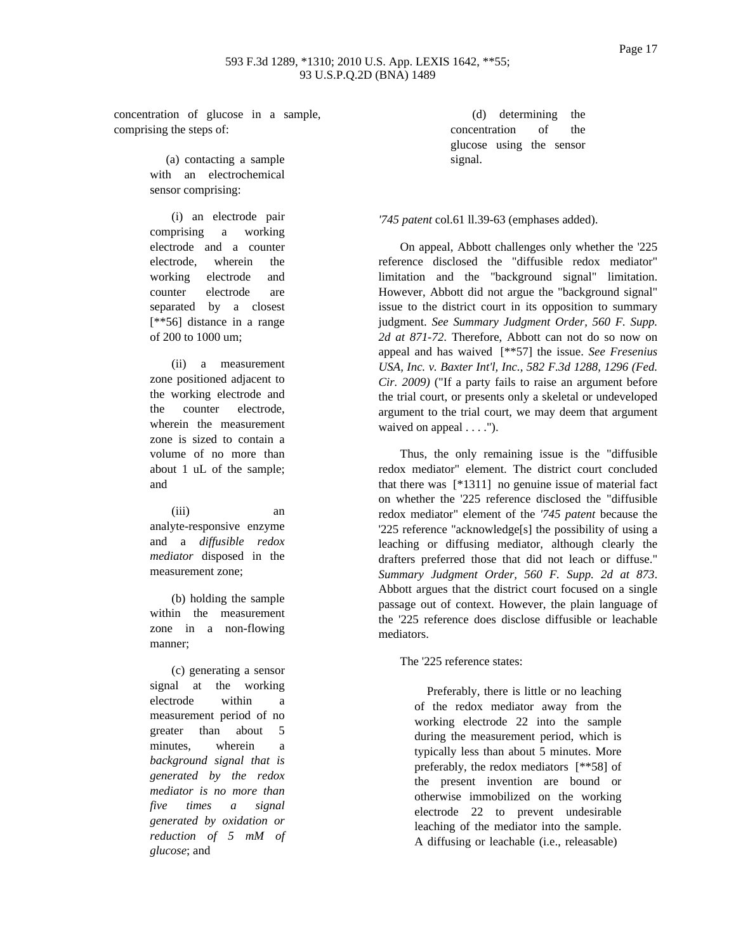concentration of glucose in a sample, comprising the steps of:

> (a) contacting a sample with an electrochemical sensor comprising:

(i) an electrode pair comprising a working electrode and a counter electrode, wherein the working electrode and counter electrode are separated by a closest [\*\*56] distance in a range of 200 to 1000 um;

(ii) a measurement zone positioned adjacent to the working electrode and the counter electrode, wherein the measurement zone is sized to contain a volume of no more than about 1 uL of the sample; and

(iii) an analyte-responsive enzyme and a *diffusible redox mediator* disposed in the measurement zone;

(b) holding the sample within the measurement zone in a non-flowing manner;

(c) generating a sensor signal at the working electrode within a measurement period of no greater than about 5 minutes, wherein a *background signal that is generated by the redox mediator is no more than five times a signal generated by oxidation or reduction of 5 mM of glucose*; and

(d) determining the concentration of the glucose using the sensor signal.

### *'745 patent* col.61 ll.39-63 (emphases added).

On appeal, Abbott challenges only whether the '225 reference disclosed the "diffusible redox mediator" limitation and the "background signal" limitation. However, Abbott did not argue the "background signal" issue to the district court in its opposition to summary judgment. *See Summary Judgment Order, 560 F. Supp. 2d at 871-72*. Therefore, Abbott can not do so now on appeal and has waived [\*\*57] the issue. *See Fresenius USA, Inc. v. Baxter Int'l, Inc., 582 F.3d 1288, 1296 (Fed. Cir. 2009)* ("If a party fails to raise an argument before the trial court, or presents only a skeletal or undeveloped argument to the trial court, we may deem that argument waived on appeal  $\dots$ .").

Thus, the only remaining issue is the "diffusible redox mediator" element. The district court concluded that there was [\*1311] no genuine issue of material fact on whether the '225 reference disclosed the "diffusible redox mediator" element of the *'745 patent* because the '225 reference "acknowledge[s] the possibility of using a leaching or diffusing mediator, although clearly the drafters preferred those that did not leach or diffuse." *Summary Judgment Order, 560 F. Supp. 2d at 873*. Abbott argues that the district court focused on a single passage out of context. However, the plain language of the '225 reference does disclose diffusible or leachable mediators.

The '225 reference states:

Preferably, there is little or no leaching of the redox mediator away from the working electrode 22 into the sample during the measurement period, which is typically less than about 5 minutes. More preferably, the redox mediators [\*\*58] of the present invention are bound or otherwise immobilized on the working electrode 22 to prevent undesirable leaching of the mediator into the sample. A diffusing or leachable (i.e., releasable)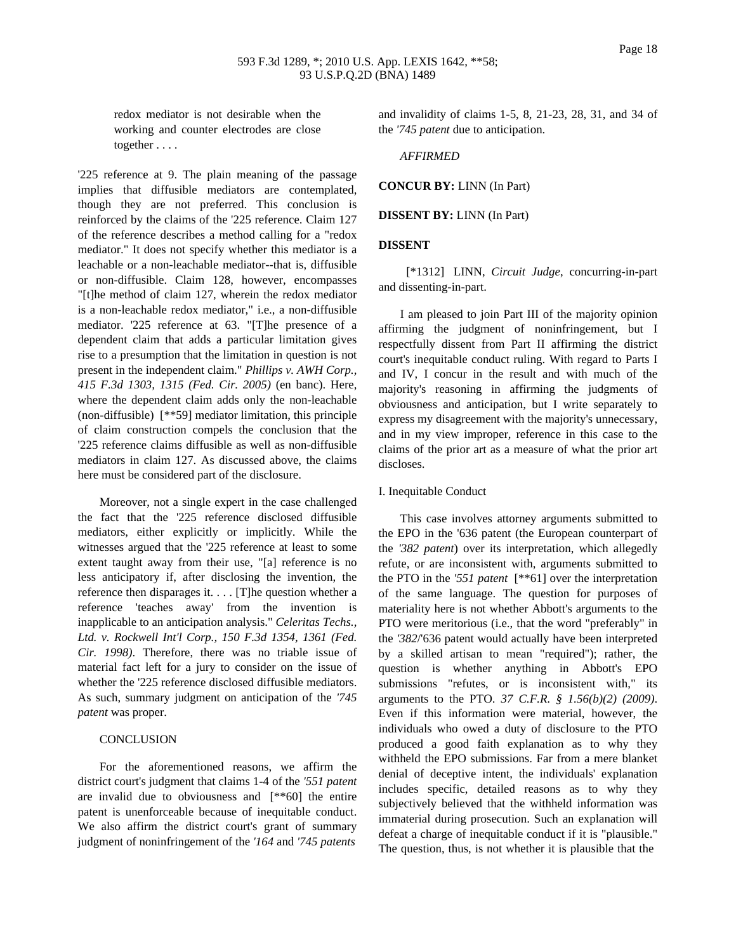Page 18

redox mediator is not desirable when the working and counter electrodes are close together . . . .

'225 reference at 9. The plain meaning of the passage implies that diffusible mediators are contemplated, though they are not preferred. This conclusion is reinforced by the claims of the '225 reference. Claim 127 of the reference describes a method calling for a "redox mediator." It does not specify whether this mediator is a leachable or a non-leachable mediator--that is, diffusible or non-diffusible. Claim 128, however, encompasses "[t]he method of claim 127, wherein the redox mediator is a non-leachable redox mediator," i.e., a non-diffusible mediator. '225 reference at 63. "[T]he presence of a dependent claim that adds a particular limitation gives rise to a presumption that the limitation in question is not present in the independent claim." *Phillips v. AWH Corp., 415 F.3d 1303, 1315 (Fed. Cir. 2005)* (en banc). Here, where the dependent claim adds only the non-leachable (non-diffusible) [\*\*59] mediator limitation, this principle of claim construction compels the conclusion that the '225 reference claims diffusible as well as non-diffusible mediators in claim 127. As discussed above, the claims here must be considered part of the disclosure.

Moreover, not a single expert in the case challenged the fact that the '225 reference disclosed diffusible mediators, either explicitly or implicitly. While the witnesses argued that the '225 reference at least to some extent taught away from their use, "[a] reference is no less anticipatory if, after disclosing the invention, the reference then disparages it. . . . [T]he question whether a reference 'teaches away' from the invention is inapplicable to an anticipation analysis." *Celeritas Techs., Ltd. v. Rockwell Int'l Corp., 150 F.3d 1354, 1361 (Fed. Cir. 1998)*. Therefore, there was no triable issue of material fact left for a jury to consider on the issue of whether the '225 reference disclosed diffusible mediators. As such, summary judgment on anticipation of the *'745 patent* was proper.

## **CONCLUSION**

For the aforementioned reasons, we affirm the district court's judgment that claims 1-4 of the *'551 patent* are invalid due to obviousness and [\*\*60] the entire patent is unenforceable because of inequitable conduct. We also affirm the district court's grant of summary judgment of noninfringement of the *'164* and *'745 patents* and invalidity of claims 1-5, 8, 21-23, 28, 31, and 34 of the *'745 patent* due to anticipation.

# *AFFIRMED*

**CONCUR BY:** LINN (In Part)

# **DISSENT BY:** LINN (In Part)

# **DISSENT**

[\*1312] LINN, *Circuit Judge*, concurring-in-part and dissenting-in-part.

I am pleased to join Part III of the majority opinion affirming the judgment of noninfringement, but I respectfully dissent from Part II affirming the district court's inequitable conduct ruling. With regard to Parts I and IV, I concur in the result and with much of the majority's reasoning in affirming the judgments of obviousness and anticipation, but I write separately to express my disagreement with the majority's unnecessary, and in my view improper, reference in this case to the claims of the prior art as a measure of what the prior art discloses.

## I. Inequitable Conduct

This case involves attorney arguments submitted to the EPO in the '636 patent (the European counterpart of the *'382 patent*) over its interpretation, which allegedly refute, or are inconsistent with, arguments submitted to the PTO in the *'551 patent* [\*\*61] over the interpretation of the same language. The question for purposes of materiality here is not whether Abbott's arguments to the PTO were meritorious (i.e., that the word "preferably" in the *'382*/'636 patent would actually have been interpreted by a skilled artisan to mean "required"); rather, the question is whether anything in Abbott's EPO submissions "refutes, or is inconsistent with," its arguments to the PTO. *37 C.F.R. § 1.56(b)(2) (2009)*. Even if this information were material, however, the individuals who owed a duty of disclosure to the PTO produced a good faith explanation as to why they withheld the EPO submissions. Far from a mere blanket denial of deceptive intent, the individuals' explanation includes specific, detailed reasons as to why they subjectively believed that the withheld information was immaterial during prosecution. Such an explanation will defeat a charge of inequitable conduct if it is "plausible." The question, thus, is not whether it is plausible that the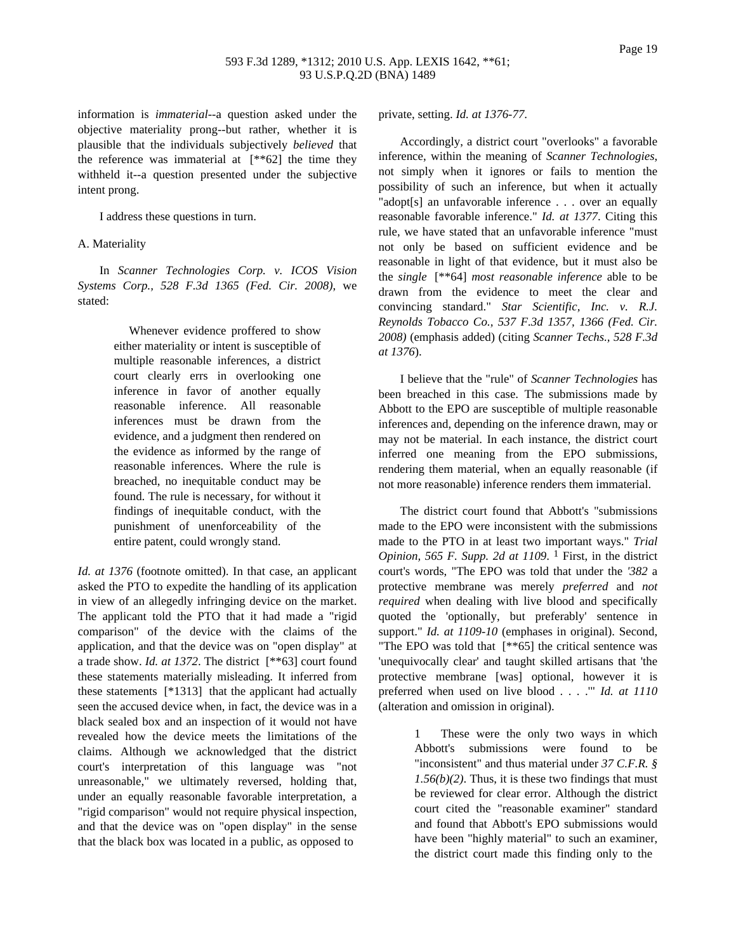## 593 F.3d 1289, \*1312; 2010 U.S. App. LEXIS 1642, \*\*61; 93 U.S.P.Q.2D (BNA) 1489

information is *immaterial*--a question asked under the objective materiality prong--but rather, whether it is plausible that the individuals subjectively *believed* that the reference was immaterial at  $[**62]$  the time they withheld it--a question presented under the subjective intent prong.

I address these questions in turn.

### A. Materiality

In *Scanner Technologies Corp. v. ICOS Vision Systems Corp., 528 F.3d 1365 (Fed. Cir. 2008)*, we stated:

> Whenever evidence proffered to show either materiality or intent is susceptible of multiple reasonable inferences, a district court clearly errs in overlooking one inference in favor of another equally reasonable inference. All reasonable inferences must be drawn from the evidence, and a judgment then rendered on the evidence as informed by the range of reasonable inferences. Where the rule is breached, no inequitable conduct may be found. The rule is necessary, for without it findings of inequitable conduct, with the punishment of unenforceability of the entire patent, could wrongly stand.

*Id. at 1376* (footnote omitted). In that case, an applicant asked the PTO to expedite the handling of its application in view of an allegedly infringing device on the market. The applicant told the PTO that it had made a "rigid comparison" of the device with the claims of the application, and that the device was on "open display" at a trade show. *Id. at 1372*. The district [\*\*63] court found these statements materially misleading. It inferred from these statements [\*1313] that the applicant had actually seen the accused device when, in fact, the device was in a black sealed box and an inspection of it would not have revealed how the device meets the limitations of the claims. Although we acknowledged that the district court's interpretation of this language was "not unreasonable," we ultimately reversed, holding that, under an equally reasonable favorable interpretation, a "rigid comparison" would not require physical inspection, and that the device was on "open display" in the sense that the black box was located in a public, as opposed to

private, setting. *Id. at 1376-77*.

Accordingly, a district court "overlooks" a favorable inference, within the meaning of *Scanner Technologies*, not simply when it ignores or fails to mention the possibility of such an inference, but when it actually "adopt[s] an unfavorable inference . . . over an equally reasonable favorable inference." *Id. at 1377*. Citing this rule, we have stated that an unfavorable inference "must not only be based on sufficient evidence and be reasonable in light of that evidence, but it must also be the *single* [\*\*64] *most reasonable inference* able to be drawn from the evidence to meet the clear and convincing standard." *Star Scientific, Inc. v. R.J. Reynolds Tobacco Co., 537 F.3d 1357, 1366 (Fed. Cir. 2008)* (emphasis added) (citing *Scanner Techs., 528 F.3d at 1376*).

I believe that the "rule" of *Scanner Technologies* has been breached in this case. The submissions made by Abbott to the EPO are susceptible of multiple reasonable inferences and, depending on the inference drawn, may or may not be material. In each instance, the district court inferred one meaning from the EPO submissions, rendering them material, when an equally reasonable (if not more reasonable) inference renders them immaterial.

The district court found that Abbott's "submissions made to the EPO were inconsistent with the submissions made to the PTO in at least two important ways." *Trial Opinion, 565 F. Supp. 2d at 1109*. 1 First, in the district court's words, "The EPO was told that under the *'382* a protective membrane was merely *preferred* and *not required* when dealing with live blood and specifically quoted the 'optionally, but preferably' sentence in support." *Id. at 1109-10* (emphases in original). Second, "The EPO was told that [\*\*65] the critical sentence was 'unequivocally clear' and taught skilled artisans that 'the protective membrane [was] optional, however it is preferred when used on live blood . . . .'" *Id. at 1110* (alteration and omission in original).

> 1 These were the only two ways in which Abbott's submissions were found to be "inconsistent" and thus material under *37 C.F.R. § 1.56(b)(2)*. Thus, it is these two findings that must be reviewed for clear error. Although the district court cited the "reasonable examiner" standard and found that Abbott's EPO submissions would have been "highly material" to such an examiner, the district court made this finding only to the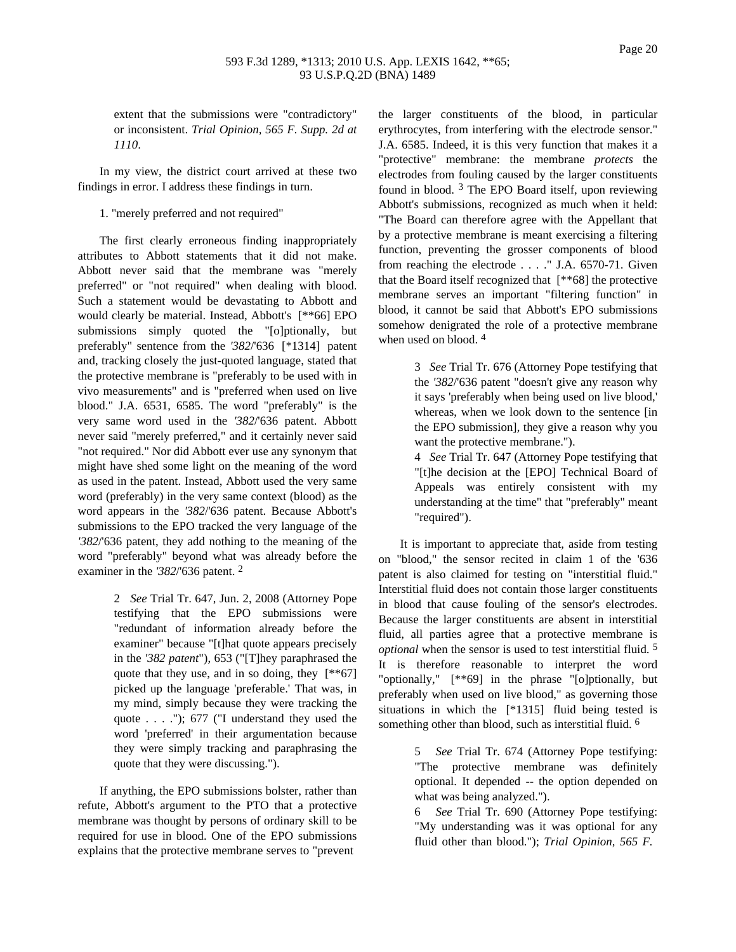extent that the submissions were "contradictory" or inconsistent. *Trial Opinion, 565 F. Supp. 2d at 1110*.

In my view, the district court arrived at these two findings in error. I address these findings in turn.

1. "merely preferred and not required"

The first clearly erroneous finding inappropriately attributes to Abbott statements that it did not make. Abbott never said that the membrane was "merely preferred" or "not required" when dealing with blood. Such a statement would be devastating to Abbott and would clearly be material. Instead, Abbott's [\*\*66] EPO submissions simply quoted the "[o]ptionally, but preferably" sentence from the *'382*/'636 [\*1314] patent and, tracking closely the just-quoted language, stated that the protective membrane is "preferably to be used with in vivo measurements" and is "preferred when used on live blood." J.A. 6531, 6585. The word "preferably" is the very same word used in the *'382*/'636 patent. Abbott never said "merely preferred," and it certainly never said "not required." Nor did Abbott ever use any synonym that might have shed some light on the meaning of the word as used in the patent. Instead, Abbott used the very same word (preferably) in the very same context (blood) as the word appears in the *'382*/'636 patent. Because Abbott's submissions to the EPO tracked the very language of the *'382*/'636 patent, they add nothing to the meaning of the word "preferably" beyond what was already before the examiner in the *'382*/'636 patent. 2

> 2 *See* Trial Tr. 647, Jun. 2, 2008 (Attorney Pope testifying that the EPO submissions were "redundant of information already before the examiner" because "[t]hat quote appears precisely in the *'382 patent*"), 653 ("[T]hey paraphrased the quote that they use, and in so doing, they [\*\*67] picked up the language 'preferable.' That was, in my mind, simply because they were tracking the quote . . . ."); 677 ("I understand they used the word 'preferred' in their argumentation because they were simply tracking and paraphrasing the quote that they were discussing.").

If anything, the EPO submissions bolster, rather than refute, Abbott's argument to the PTO that a protective membrane was thought by persons of ordinary skill to be required for use in blood. One of the EPO submissions explains that the protective membrane serves to "prevent

the larger constituents of the blood, in particular erythrocytes, from interfering with the electrode sensor." J.A. 6585. Indeed, it is this very function that makes it a "protective" membrane: the membrane *protects* the electrodes from fouling caused by the larger constituents found in blood. 3 The EPO Board itself, upon reviewing Abbott's submissions, recognized as much when it held: "The Board can therefore agree with the Appellant that by a protective membrane is meant exercising a filtering function, preventing the grosser components of blood from reaching the electrode . . . ." J.A. 6570-71. Given that the Board itself recognized that [\*\*68] the protective membrane serves an important "filtering function" in blood, it cannot be said that Abbott's EPO submissions somehow denigrated the role of a protective membrane when used on blood.<sup>4</sup>

> 3 *See* Trial Tr. 676 (Attorney Pope testifying that the *'382*/'636 patent "doesn't give any reason why it says 'preferably when being used on live blood,' whereas, when we look down to the sentence [in the EPO submission], they give a reason why you want the protective membrane.").

> 4 *See* Trial Tr. 647 (Attorney Pope testifying that "[t]he decision at the [EPO] Technical Board of Appeals was entirely consistent with my understanding at the time" that "preferably" meant "required").

It is important to appreciate that, aside from testing on "blood," the sensor recited in claim 1 of the '636 patent is also claimed for testing on "interstitial fluid." Interstitial fluid does not contain those larger constituents in blood that cause fouling of the sensor's electrodes. Because the larger constituents are absent in interstitial fluid, all parties agree that a protective membrane is *optional* when the sensor is used to test interstitial fluid. 5 It is therefore reasonable to interpret the word "optionally," [\*\*69] in the phrase "[o]ptionally, but preferably when used on live blood," as governing those situations in which the [\*1315] fluid being tested is something other than blood, such as interstitial fluid. <sup>6</sup>

> 5 *See* Trial Tr. 674 (Attorney Pope testifying: "The protective membrane was definitely optional. It depended -- the option depended on what was being analyzed.").

> 6 *See* Trial Tr. 690 (Attorney Pope testifying: "My understanding was it was optional for any fluid other than blood."); *Trial Opinion, 565 F.*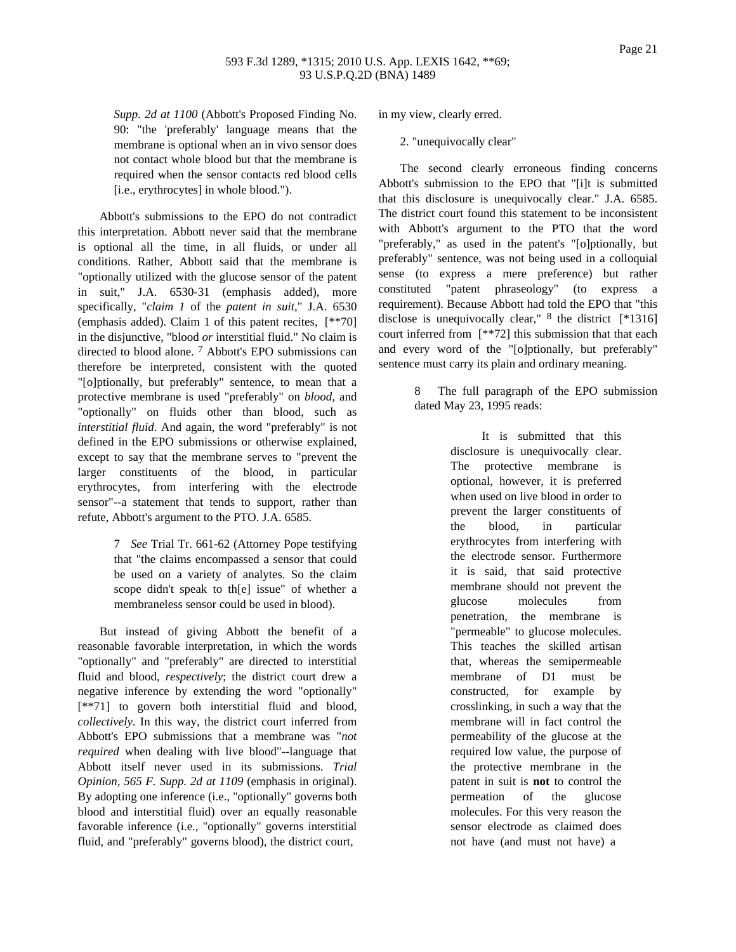*Supp. 2d at 1100* (Abbott's Proposed Finding No. 90: "the 'preferably' language means that the membrane is optional when an in vivo sensor does not contact whole blood but that the membrane is required when the sensor contacts red blood cells [i.e., erythrocytes] in whole blood.").

Abbott's submissions to the EPO do not contradict this interpretation. Abbott never said that the membrane is optional all the time, in all fluids, or under all conditions. Rather, Abbott said that the membrane is "optionally utilized with the glucose sensor of the patent in suit," J.A. 6530-31 (emphasis added), more specifically, "*claim 1* of the *patent in suit*," J.A. 6530 (emphasis added). Claim 1 of this patent recites, [\*\*70] in the disjunctive, "blood *or* interstitial fluid." No claim is directed to blood alone. 7 Abbott's EPO submissions can therefore be interpreted, consistent with the quoted "[o]ptionally, but preferably" sentence, to mean that a protective membrane is used "preferably" on *blood*, and "optionally" on fluids other than blood, such as *interstitial fluid*. And again, the word "preferably" is not defined in the EPO submissions or otherwise explained, except to say that the membrane serves to "prevent the larger constituents of the blood, in particular erythrocytes, from interfering with the electrode sensor"--a statement that tends to support, rather than refute, Abbott's argument to the PTO. J.A. 6585.

> 7 *See* Trial Tr. 661-62 (Attorney Pope testifying that "the claims encompassed a sensor that could be used on a variety of analytes. So the claim scope didn't speak to th[e] issue" of whether a membraneless sensor could be used in blood).

But instead of giving Abbott the benefit of a reasonable favorable interpretation, in which the words "optionally" and "preferably" are directed to interstitial fluid and blood, *respectively*; the district court drew a negative inference by extending the word "optionally" [\*\*71] to govern both interstitial fluid and blood, *collectively*. In this way, the district court inferred from Abbott's EPO submissions that a membrane was "*not required* when dealing with live blood"--language that Abbott itself never used in its submissions. *Trial Opinion, 565 F. Supp. 2d at 1109* (emphasis in original). By adopting one inference (i.e., "optionally" governs both blood and interstitial fluid) over an equally reasonable favorable inference (i.e., "optionally" governs interstitial fluid, and "preferably" governs blood), the district court,

in my view, clearly erred.

2. "unequivocally clear"

The second clearly erroneous finding concerns Abbott's submission to the EPO that "[i]t is submitted that this disclosure is unequivocally clear." J.A. 6585. The district court found this statement to be inconsistent with Abbott's argument to the PTO that the word "preferably," as used in the patent's "[o]ptionally, but preferably" sentence, was not being used in a colloquial sense (to express a mere preference) but rather constituted "patent phraseology" (to express a requirement). Because Abbott had told the EPO that "this disclose is unequivocally clear,"  $8$  the district [\*1316] court inferred from [\*\*72] this submission that that each and every word of the "[o]ptionally, but preferably" sentence must carry its plain and ordinary meaning.

> 8 The full paragraph of the EPO submission dated May 23, 1995 reads:

> > It is submitted that this disclosure is unequivocally clear. The protective membrane is optional, however, it is preferred when used on live blood in order to prevent the larger constituents of the blood, in particular erythrocytes from interfering with the electrode sensor. Furthermore it is said, that said protective membrane should not prevent the glucose molecules from penetration, the membrane is "permeable" to glucose molecules. This teaches the skilled artisan that, whereas the semipermeable membrane of D1 must be constructed, for example by crosslinking, in such a way that the membrane will in fact control the permeability of the glucose at the required low value, the purpose of the protective membrane in the patent in suit is **not** to control the permeation of the glucose molecules. For this very reason the sensor electrode as claimed does not have (and must not have) a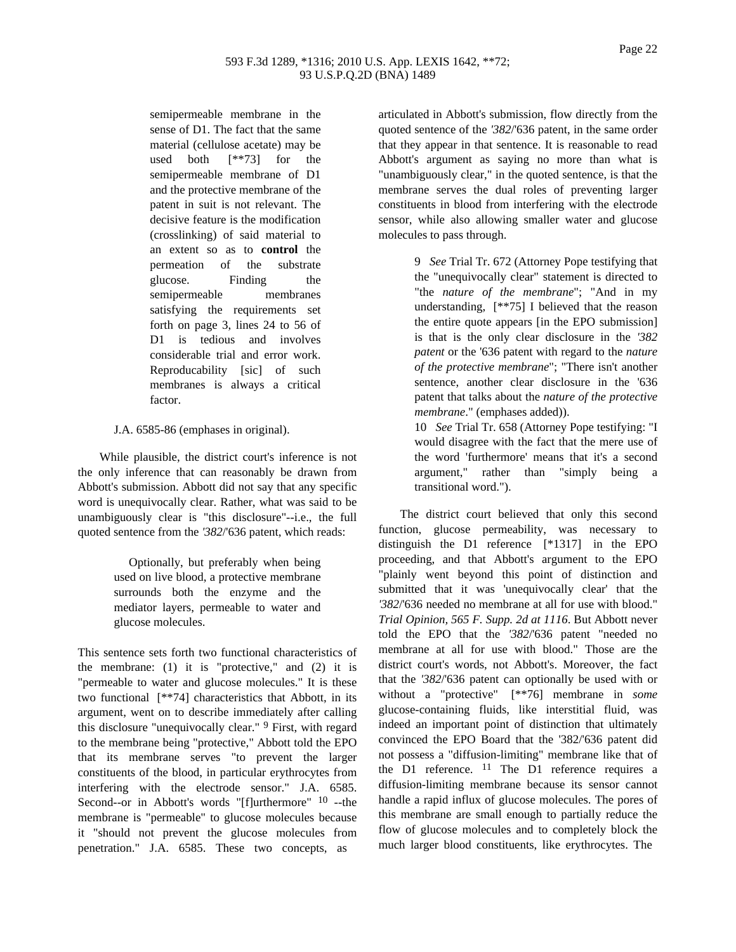semipermeable membrane in the sense of D1. The fact that the same material (cellulose acetate) may be used both [\*\*73] for the semipermeable membrane of D1 and the protective membrane of the patent in suit is not relevant. The decisive feature is the modification (crosslinking) of said material to an extent so as to **control** the permeation of the substrate glucose. Finding the semipermeable membranes satisfying the requirements set forth on page 3, lines 24 to 56 of D1 is tedious and involves considerable trial and error work. Reproducability [sic] of such membranes is always a critical factor.

J.A. 6585-86 (emphases in original).

While plausible, the district court's inference is not the only inference that can reasonably be drawn from Abbott's submission. Abbott did not say that any specific word is unequivocally clear. Rather, what was said to be unambiguously clear is "this disclosure"--i.e., the full quoted sentence from the *'382*/'636 patent, which reads:

> Optionally, but preferably when being used on live blood, a protective membrane surrounds both the enzyme and the mediator layers, permeable to water and glucose molecules.

This sentence sets forth two functional characteristics of the membrane:  $(1)$  it is "protective," and  $(2)$  it is "permeable to water and glucose molecules." It is these two functional [\*\*74] characteristics that Abbott, in its argument, went on to describe immediately after calling this disclosure "unequivocally clear." 9 First, with regard to the membrane being "protective," Abbott told the EPO that its membrane serves "to prevent the larger constituents of the blood, in particular erythrocytes from interfering with the electrode sensor." J.A. 6585. Second--or in Abbott's words "[f]urthermore" <sup>10</sup> --the membrane is "permeable" to glucose molecules because it "should not prevent the glucose molecules from penetration." J.A. 6585. These two concepts, as

articulated in Abbott's submission, flow directly from the quoted sentence of the *'382*/'636 patent, in the same order that they appear in that sentence. It is reasonable to read Abbott's argument as saying no more than what is "unambiguously clear," in the quoted sentence, is that the membrane serves the dual roles of preventing larger constituents in blood from interfering with the electrode sensor, while also allowing smaller water and glucose molecules to pass through.

> 9 *See* Trial Tr. 672 (Attorney Pope testifying that the "unequivocally clear" statement is directed to "the *nature of the membrane*"; "And in my understanding, [\*\*75] I believed that the reason the entire quote appears [in the EPO submission] is that is the only clear disclosure in the *'382 patent* or the '636 patent with regard to the *nature of the protective membrane*"; "There isn't another sentence, another clear disclosure in the '636 patent that talks about the *nature of the protective membrane*." (emphases added)).

> 10 *See* Trial Tr. 658 (Attorney Pope testifying: "I would disagree with the fact that the mere use of the word 'furthermore' means that it's a second argument," rather than "simply being a transitional word.").

The district court believed that only this second function, glucose permeability, was necessary to distinguish the D1 reference [\*1317] in the EPO proceeding, and that Abbott's argument to the EPO "plainly went beyond this point of distinction and submitted that it was 'unequivocally clear' that the *'382*/'636 needed no membrane at all for use with blood." *Trial Opinion, 565 F. Supp. 2d at 1116*. But Abbott never told the EPO that the *'382*/'636 patent "needed no membrane at all for use with blood." Those are the district court's words, not Abbott's. Moreover, the fact that the *'382*/'636 patent can optionally be used with or without a "protective" [\*\*76] membrane in *some* glucose-containing fluids, like interstitial fluid, was indeed an important point of distinction that ultimately convinced the EPO Board that the '382/'636 patent did not possess a "diffusion-limiting" membrane like that of the D1 reference. 11 The D1 reference requires a diffusion-limiting membrane because its sensor cannot handle a rapid influx of glucose molecules. The pores of this membrane are small enough to partially reduce the flow of glucose molecules and to completely block the much larger blood constituents, like erythrocytes. The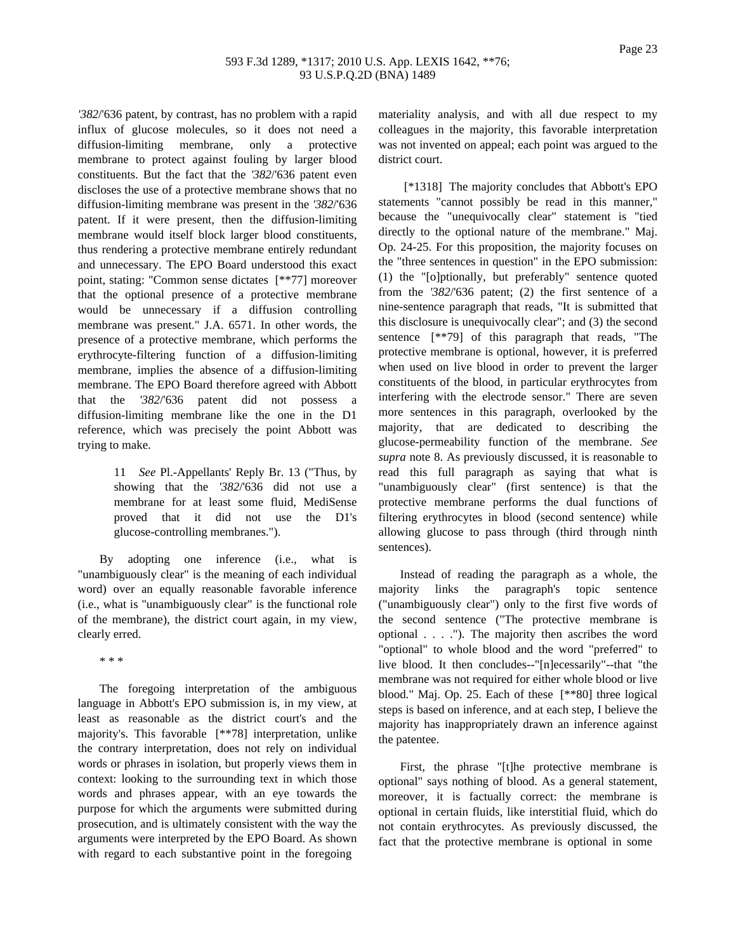*'382*/'636 patent, by contrast, has no problem with a rapid influx of glucose molecules, so it does not need a diffusion-limiting membrane, only a protective membrane to protect against fouling by larger blood constituents. But the fact that the *'382*/'636 patent even discloses the use of a protective membrane shows that no diffusion-limiting membrane was present in the *'382*/'636 patent. If it were present, then the diffusion-limiting membrane would itself block larger blood constituents, thus rendering a protective membrane entirely redundant and unnecessary. The EPO Board understood this exact point, stating: "Common sense dictates [\*\*77] moreover that the optional presence of a protective membrane would be unnecessary if a diffusion controlling membrane was present." J.A. 6571. In other words, the presence of a protective membrane, which performs the erythrocyte-filtering function of a diffusion-limiting membrane, implies the absence of a diffusion-limiting membrane. The EPO Board therefore agreed with Abbott that the *'382*/'636 patent did not possess a diffusion-limiting membrane like the one in the D1 reference, which was precisely the point Abbott was trying to make.

> 11 *See* Pl.-Appellants' Reply Br. 13 ("Thus, by showing that the *'382*/'636 did not use a membrane for at least some fluid, MediSense proved that it did not use the D1's glucose-controlling membranes.").

By adopting one inference (i.e., what is "unambiguously clear" is the meaning of each individual word) over an equally reasonable favorable inference (i.e., what is "unambiguously clear" is the functional role of the membrane), the district court again, in my view, clearly erred.

\* \* \*

The foregoing interpretation of the ambiguous language in Abbott's EPO submission is, in my view, at least as reasonable as the district court's and the majority's. This favorable [\*\*78] interpretation, unlike the contrary interpretation, does not rely on individual words or phrases in isolation, but properly views them in context: looking to the surrounding text in which those words and phrases appear, with an eye towards the purpose for which the arguments were submitted during prosecution, and is ultimately consistent with the way the arguments were interpreted by the EPO Board. As shown with regard to each substantive point in the foregoing

materiality analysis, and with all due respect to my colleagues in the majority, this favorable interpretation was not invented on appeal; each point was argued to the district court.

[\*1318] The majority concludes that Abbott's EPO statements "cannot possibly be read in this manner," because the "unequivocally clear" statement is "tied directly to the optional nature of the membrane." Maj. Op. 24-25. For this proposition, the majority focuses on the "three sentences in question" in the EPO submission: (1) the "[o]ptionally, but preferably" sentence quoted from the *'382*/'636 patent; (2) the first sentence of a nine-sentence paragraph that reads, "It is submitted that this disclosure is unequivocally clear"; and (3) the second sentence [\*\*79] of this paragraph that reads, "The protective membrane is optional, however, it is preferred when used on live blood in order to prevent the larger constituents of the blood, in particular erythrocytes from interfering with the electrode sensor." There are seven more sentences in this paragraph, overlooked by the majority, that are dedicated to describing the glucose-permeability function of the membrane. *See supra* note 8. As previously discussed, it is reasonable to read this full paragraph as saying that what is "unambiguously clear" (first sentence) is that the protective membrane performs the dual functions of filtering erythrocytes in blood (second sentence) while allowing glucose to pass through (third through ninth sentences).

Instead of reading the paragraph as a whole, the majority links the paragraph's topic sentence ("unambiguously clear") only to the first five words of the second sentence ("The protective membrane is optional . . . ."). The majority then ascribes the word "optional" to whole blood and the word "preferred" to live blood. It then concludes--"[n]ecessarily"--that "the membrane was not required for either whole blood or live blood." Maj. Op. 25. Each of these [\*\*80] three logical steps is based on inference, and at each step, I believe the majority has inappropriately drawn an inference against the patentee.

First, the phrase "[t]he protective membrane is optional" says nothing of blood. As a general statement, moreover, it is factually correct: the membrane is optional in certain fluids, like interstitial fluid, which do not contain erythrocytes. As previously discussed, the fact that the protective membrane is optional in some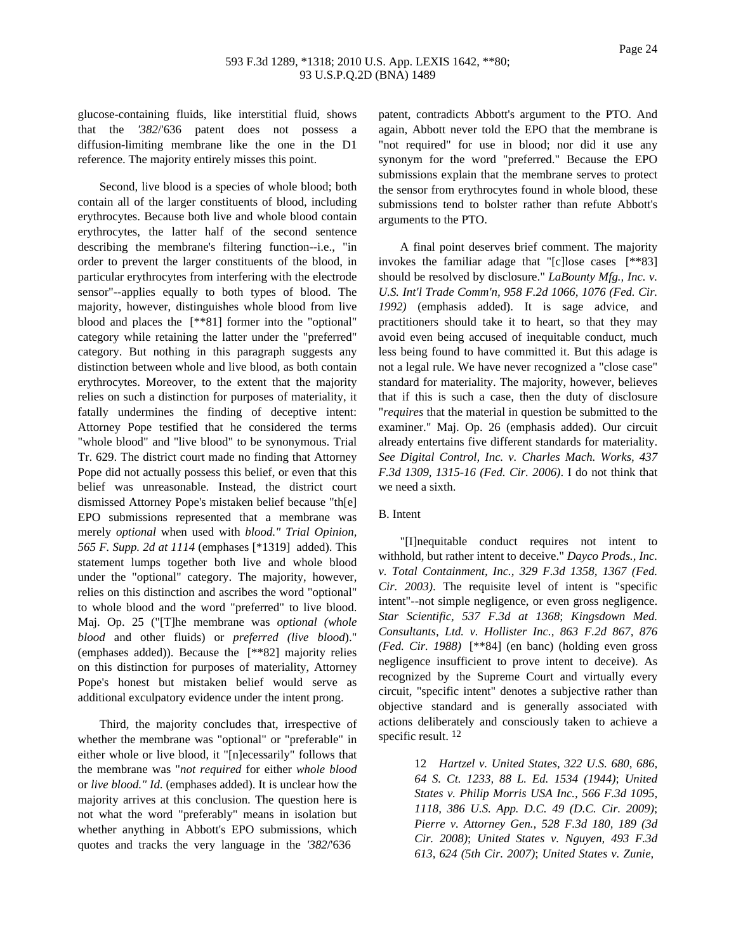glucose-containing fluids, like interstitial fluid, shows that the *'382*/'636 patent does not possess a diffusion-limiting membrane like the one in the D1 reference. The majority entirely misses this point.

Second, live blood is a species of whole blood; both contain all of the larger constituents of blood, including erythrocytes. Because both live and whole blood contain erythrocytes, the latter half of the second sentence describing the membrane's filtering function--i.e., "in order to prevent the larger constituents of the blood, in particular erythrocytes from interfering with the electrode sensor"--applies equally to both types of blood. The majority, however, distinguishes whole blood from live blood and places the [\*\*81] former into the "optional" category while retaining the latter under the "preferred" category. But nothing in this paragraph suggests any distinction between whole and live blood, as both contain erythrocytes. Moreover, to the extent that the majority relies on such a distinction for purposes of materiality, it fatally undermines the finding of deceptive intent: Attorney Pope testified that he considered the terms "whole blood" and "live blood" to be synonymous. Trial Tr. 629. The district court made no finding that Attorney Pope did not actually possess this belief, or even that this belief was unreasonable. Instead, the district court dismissed Attorney Pope's mistaken belief because "th[e] EPO submissions represented that a membrane was merely *optional* when used with *blood." Trial Opinion, 565 F. Supp. 2d at 1114* (emphases [\*1319] added). This statement lumps together both live and whole blood under the "optional" category. The majority, however, relies on this distinction and ascribes the word "optional" to whole blood and the word "preferred" to live blood. Maj. Op. 25 ("[T]he membrane was *optional (whole blood* and other fluids) or *preferred (live blood*)." (emphases added)). Because the [\*\*82] majority relies on this distinction for purposes of materiality, Attorney Pope's honest but mistaken belief would serve as additional exculpatory evidence under the intent prong.

Third, the majority concludes that, irrespective of whether the membrane was "optional" or "preferable" in either whole or live blood, it "[n]ecessarily" follows that the membrane was "*not required* for either *whole blood* or *live blood." Id*. (emphases added). It is unclear how the majority arrives at this conclusion. The question here is not what the word "preferably" means in isolation but whether anything in Abbott's EPO submissions, which quotes and tracks the very language in the *'382*/'636

patent, contradicts Abbott's argument to the PTO. And again, Abbott never told the EPO that the membrane is "not required" for use in blood; nor did it use any synonym for the word "preferred." Because the EPO submissions explain that the membrane serves to protect the sensor from erythrocytes found in whole blood, these submissions tend to bolster rather than refute Abbott's arguments to the PTO.

A final point deserves brief comment. The majority invokes the familiar adage that "[c]lose cases [\*\*83] should be resolved by disclosure." *LaBounty Mfg., Inc. v. U.S. Int'l Trade Comm'n, 958 F.2d 1066, 1076 (Fed. Cir. 1992)* (emphasis added). It is sage advice, and practitioners should take it to heart, so that they may avoid even being accused of inequitable conduct, much less being found to have committed it. But this adage is not a legal rule. We have never recognized a "close case" standard for materiality. The majority, however, believes that if this is such a case, then the duty of disclosure "*requires* that the material in question be submitted to the examiner." Maj. Op. 26 (emphasis added). Our circuit already entertains five different standards for materiality. *See Digital Control, Inc. v. Charles Mach. Works, 437 F.3d 1309, 1315-16 (Fed. Cir. 2006)*. I do not think that we need a sixth.

# B. Intent

"[I]nequitable conduct requires not intent to withhold, but rather intent to deceive." *Dayco Prods., Inc. v. Total Containment, Inc., 329 F.3d 1358, 1367 (Fed. Cir. 2003)*. The requisite level of intent is "specific intent"--not simple negligence, or even gross negligence. *Star Scientific, 537 F.3d at 1368*; *Kingsdown Med. Consultants, Ltd. v. Hollister Inc., 863 F.2d 867, 876 (Fed. Cir. 1988)* [\*\*84] (en banc) (holding even gross negligence insufficient to prove intent to deceive). As recognized by the Supreme Court and virtually every circuit, "specific intent" denotes a subjective rather than objective standard and is generally associated with actions deliberately and consciously taken to achieve a specific result. <sup>12</sup>

> 12 *Hartzel v. United States, 322 U.S. 680, 686, 64 S. Ct. 1233, 88 L. Ed. 1534 (1944)*; *United States v. Philip Morris USA Inc., 566 F.3d 1095, 1118, 386 U.S. App. D.C. 49 (D.C. Cir. 2009)*; *Pierre v. Attorney Gen., 528 F.3d 180, 189 (3d Cir. 2008)*; *United States v. Nguyen, 493 F.3d 613, 624 (5th Cir. 2007)*; *United States v. Zunie,*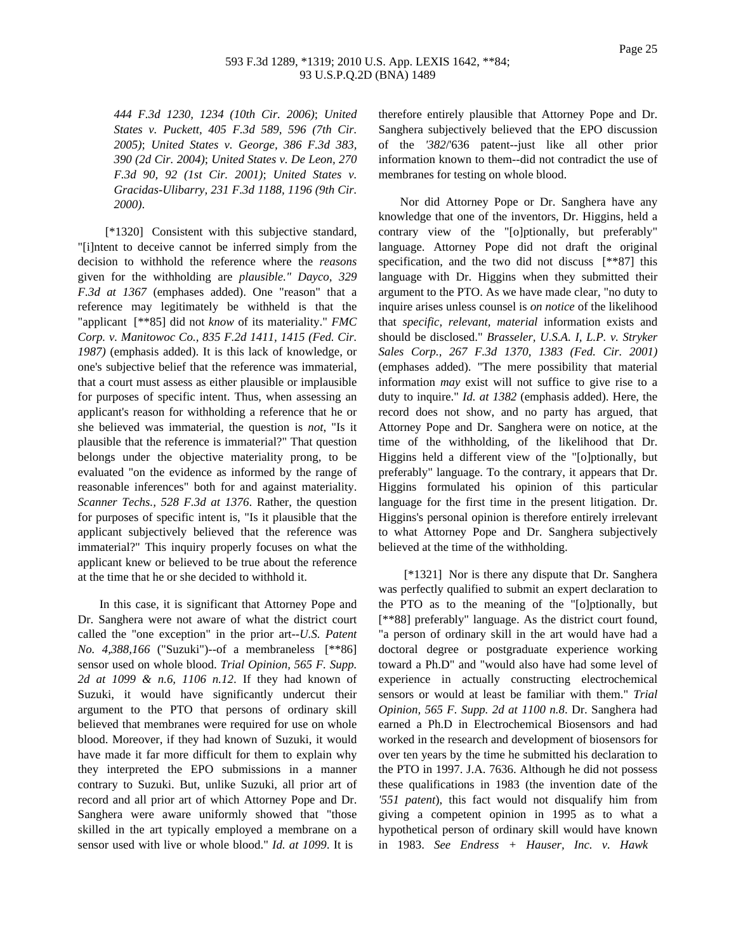*444 F.3d 1230, 1234 (10th Cir. 2006)*; *United States v. Puckett, 405 F.3d 589, 596 (7th Cir. 2005)*; *United States v. George, 386 F.3d 383, 390 (2d Cir. 2004)*; *United States v. De Leon, 270 F.3d 90, 92 (1st Cir. 2001)*; *United States v. Gracidas-Ulibarry, 231 F.3d 1188, 1196 (9th Cir. 2000)*.

[\*1320] Consistent with this subjective standard, "[i]ntent to deceive cannot be inferred simply from the decision to withhold the reference where the *reasons* given for the withholding are *plausible." Dayco, 329 F.3d at 1367* (emphases added). One "reason" that a reference may legitimately be withheld is that the "applicant [\*\*85] did not *know* of its materiality." *FMC Corp. v. Manitowoc Co., 835 F.2d 1411, 1415 (Fed. Cir. 1987)* (emphasis added). It is this lack of knowledge, or one's subjective belief that the reference was immaterial, that a court must assess as either plausible or implausible for purposes of specific intent. Thus, when assessing an applicant's reason for withholding a reference that he or she believed was immaterial, the question is *not*, "Is it plausible that the reference is immaterial?" That question belongs under the objective materiality prong, to be evaluated "on the evidence as informed by the range of reasonable inferences" both for and against materiality. *Scanner Techs., 528 F.3d at 1376*. Rather, the question for purposes of specific intent is, "Is it plausible that the applicant subjectively believed that the reference was immaterial?" This inquiry properly focuses on what the applicant knew or believed to be true about the reference at the time that he or she decided to withhold it.

In this case, it is significant that Attorney Pope and Dr. Sanghera were not aware of what the district court called the "one exception" in the prior art--*U.S. Patent No. 4,388,166* ("Suzuki")--of a membraneless [\*\*86] sensor used on whole blood. *Trial Opinion, 565 F. Supp. 2d at 1099 & n.6, 1106 n.12*. If they had known of Suzuki, it would have significantly undercut their argument to the PTO that persons of ordinary skill believed that membranes were required for use on whole blood. Moreover, if they had known of Suzuki, it would have made it far more difficult for them to explain why they interpreted the EPO submissions in a manner contrary to Suzuki. But, unlike Suzuki, all prior art of record and all prior art of which Attorney Pope and Dr. Sanghera were aware uniformly showed that "those skilled in the art typically employed a membrane on a sensor used with live or whole blood." *Id. at 1099*. It is

therefore entirely plausible that Attorney Pope and Dr. Sanghera subjectively believed that the EPO discussion of the *'382*/'636 patent--just like all other prior information known to them--did not contradict the use of membranes for testing on whole blood.

Nor did Attorney Pope or Dr. Sanghera have any knowledge that one of the inventors, Dr. Higgins, held a contrary view of the "[o]ptionally, but preferably" language. Attorney Pope did not draft the original specification, and the two did not discuss [\*\*87] this language with Dr. Higgins when they submitted their argument to the PTO. As we have made clear, "no duty to inquire arises unless counsel is *on notice* of the likelihood that *specific, relevant, material* information exists and should be disclosed." *Brasseler, U.S.A. I, L.P. v. Stryker Sales Corp., 267 F.3d 1370, 1383 (Fed. Cir. 2001)* (emphases added). "The mere possibility that material information *may* exist will not suffice to give rise to a duty to inquire." *Id. at 1382* (emphasis added). Here, the record does not show, and no party has argued, that Attorney Pope and Dr. Sanghera were on notice, at the time of the withholding, of the likelihood that Dr. Higgins held a different view of the "[o]ptionally, but preferably" language. To the contrary, it appears that Dr. Higgins formulated his opinion of this particular language for the first time in the present litigation. Dr. Higgins's personal opinion is therefore entirely irrelevant to what Attorney Pope and Dr. Sanghera subjectively believed at the time of the withholding.

[\*1321] Nor is there any dispute that Dr. Sanghera was perfectly qualified to submit an expert declaration to the PTO as to the meaning of the "[o]ptionally, but [\*\*88] preferably" language. As the district court found, "a person of ordinary skill in the art would have had a doctoral degree or postgraduate experience working toward a Ph.D" and "would also have had some level of experience in actually constructing electrochemical sensors or would at least be familiar with them." *Trial Opinion, 565 F. Supp. 2d at 1100 n.8*. Dr. Sanghera had earned a Ph.D in Electrochemical Biosensors and had worked in the research and development of biosensors for over ten years by the time he submitted his declaration to the PTO in 1997. J.A. 7636. Although he did not possess these qualifications in 1983 (the invention date of the *'551 patent*), this fact would not disqualify him from giving a competent opinion in 1995 as to what a hypothetical person of ordinary skill would have known in 1983. *See Endress + Hauser, Inc. v. Hawk*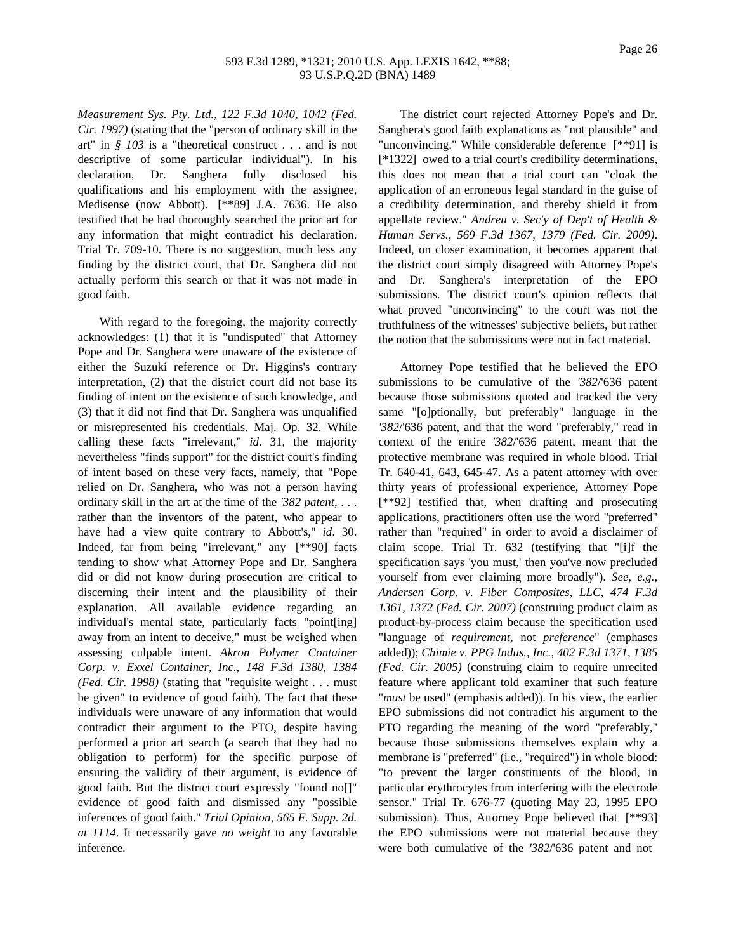*Measurement Sys. Pty. Ltd., 122 F.3d 1040, 1042 (Fed. Cir. 1997)* (stating that the "person of ordinary skill in the art" in *§ 103* is a "theoretical construct . . . and is not descriptive of some particular individual"). In his declaration, Dr. Sanghera fully disclosed his qualifications and his employment with the assignee, Medisense (now Abbott). [\*\*89] J.A. 7636. He also testified that he had thoroughly searched the prior art for any information that might contradict his declaration. Trial Tr. 709-10. There is no suggestion, much less any finding by the district court, that Dr. Sanghera did not actually perform this search or that it was not made in good faith.

With regard to the foregoing, the majority correctly acknowledges: (1) that it is "undisputed" that Attorney Pope and Dr. Sanghera were unaware of the existence of either the Suzuki reference or Dr. Higgins's contrary interpretation, (2) that the district court did not base its finding of intent on the existence of such knowledge, and (3) that it did not find that Dr. Sanghera was unqualified or misrepresented his credentials. Maj. Op. 32. While calling these facts "irrelevant," *id*. 31, the majority nevertheless "finds support" for the district court's finding of intent based on these very facts, namely, that "Pope relied on Dr. Sanghera, who was not a person having ordinary skill in the art at the time of the *'382 patent*, . . . rather than the inventors of the patent, who appear to have had a view quite contrary to Abbott's," *id*. 30. Indeed, far from being "irrelevant," any [\*\*90] facts tending to show what Attorney Pope and Dr. Sanghera did or did not know during prosecution are critical to discerning their intent and the plausibility of their explanation. All available evidence regarding an individual's mental state, particularly facts "point[ing] away from an intent to deceive," must be weighed when assessing culpable intent. *Akron Polymer Container Corp. v. Exxel Container, Inc., 148 F.3d 1380, 1384 (Fed. Cir. 1998)* (stating that "requisite weight . . . must be given" to evidence of good faith). The fact that these individuals were unaware of any information that would contradict their argument to the PTO, despite having performed a prior art search (a search that they had no obligation to perform) for the specific purpose of ensuring the validity of their argument, is evidence of good faith. But the district court expressly "found no[]" evidence of good faith and dismissed any "possible inferences of good faith." *Trial Opinion, 565 F. Supp. 2d. at 1114*. It necessarily gave *no weight* to any favorable inference.

The district court rejected Attorney Pope's and Dr. Sanghera's good faith explanations as "not plausible" and "unconvincing." While considerable deference [\*\*91] is [\*1322] owed to a trial court's credibility determinations, this does not mean that a trial court can "cloak the application of an erroneous legal standard in the guise of a credibility determination, and thereby shield it from appellate review." *Andreu v. Sec'y of Dep't of Health & Human Servs., 569 F.3d 1367, 1379 (Fed. Cir. 2009)*. Indeed, on closer examination, it becomes apparent that the district court simply disagreed with Attorney Pope's and Dr. Sanghera's interpretation of the EPO submissions. The district court's opinion reflects that what proved "unconvincing" to the court was not the truthfulness of the witnesses' subjective beliefs, but rather the notion that the submissions were not in fact material.

Attorney Pope testified that he believed the EPO submissions to be cumulative of the *'382*/'636 patent because those submissions quoted and tracked the very same "[o]ptionally, but preferably" language in the *'382*/'636 patent, and that the word "preferably," read in context of the entire *'382*/'636 patent, meant that the protective membrane was required in whole blood. Trial Tr. 640-41, 643, 645-47. As a patent attorney with over thirty years of professional experience, Attorney Pope [\*\*92] testified that, when drafting and prosecuting applications, practitioners often use the word "preferred" rather than "required" in order to avoid a disclaimer of claim scope. Trial Tr. 632 (testifying that "[i]f the specification says 'you must,' then you've now precluded yourself from ever claiming more broadly"). *See, e.g., Andersen Corp. v. Fiber Composites, LLC, 474 F.3d 1361, 1372 (Fed. Cir. 2007)* (construing product claim as product-by-process claim because the specification used "language of *requirement*, not *preference*" (emphases added)); *Chimie v. PPG Indus., Inc., 402 F.3d 1371, 1385 (Fed. Cir. 2005)* (construing claim to require unrecited feature where applicant told examiner that such feature "*must* be used" (emphasis added)). In his view, the earlier EPO submissions did not contradict his argument to the PTO regarding the meaning of the word "preferably," because those submissions themselves explain why a membrane is "preferred" (i.e., "required") in whole blood: "to prevent the larger constituents of the blood, in particular erythrocytes from interfering with the electrode sensor." Trial Tr. 676-77 (quoting May 23, 1995 EPO submission). Thus, Attorney Pope believed that [\*\*93] the EPO submissions were not material because they were both cumulative of the *'382*/'636 patent and not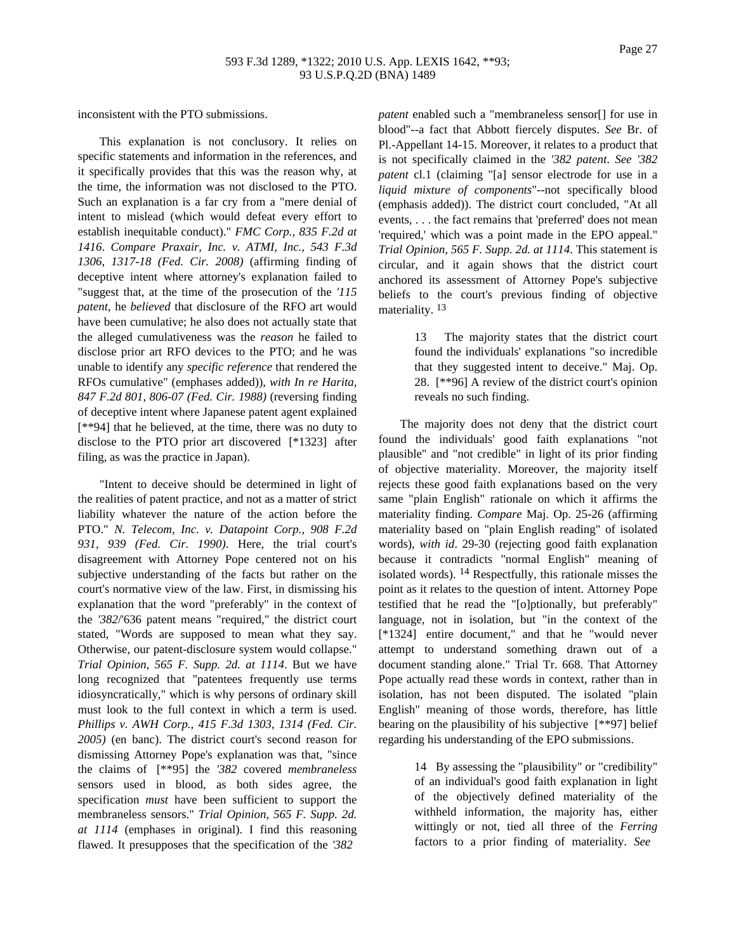inconsistent with the PTO submissions.

This explanation is not conclusory. It relies on specific statements and information in the references, and it specifically provides that this was the reason why, at the time, the information was not disclosed to the PTO. Such an explanation is a far cry from a "mere denial of intent to mislead (which would defeat every effort to establish inequitable conduct)." *FMC Corp., 835 F.2d at 1416*. *Compare Praxair, Inc. v. ATMI, Inc., 543 F.3d 1306, 1317-18 (Fed. Cir. 2008)* (affirming finding of deceptive intent where attorney's explanation failed to "suggest that, at the time of the prosecution of the *'115 patent*, he *believed* that disclosure of the RFO art would have been cumulative; he also does not actually state that the alleged cumulativeness was the *reason* he failed to disclose prior art RFO devices to the PTO; and he was unable to identify any *specific reference* that rendered the RFOs cumulative" (emphases added)), *with In re Harita, 847 F.2d 801, 806-07 (Fed. Cir. 1988)* (reversing finding of deceptive intent where Japanese patent agent explained [\*\*94] that he believed, at the time, there was no duty to disclose to the PTO prior art discovered [\*1323] after filing, as was the practice in Japan).

"Intent to deceive should be determined in light of the realities of patent practice, and not as a matter of strict liability whatever the nature of the action before the PTO." *N. Telecom, Inc. v. Datapoint Corp., 908 F.2d 931, 939 (Fed. Cir. 1990)*. Here, the trial court's disagreement with Attorney Pope centered not on his subjective understanding of the facts but rather on the court's normative view of the law. First, in dismissing his explanation that the word "preferably" in the context of the *'382*/'636 patent means "required," the district court stated, "Words are supposed to mean what they say. Otherwise, our patent-disclosure system would collapse." *Trial Opinion, 565 F. Supp. 2d. at 1114*. But we have long recognized that "patentees frequently use terms idiosyncratically," which is why persons of ordinary skill must look to the full context in which a term is used. *Phillips v. AWH Corp., 415 F.3d 1303, 1314 (Fed. Cir. 2005)* (en banc). The district court's second reason for dismissing Attorney Pope's explanation was that, "since the claims of [\*\*95] the *'382* covered *membraneless* sensors used in blood, as both sides agree, the specification *must* have been sufficient to support the membraneless sensors." *Trial Opinion, 565 F. Supp. 2d. at 1114* (emphases in original). I find this reasoning flawed. It presupposes that the specification of the *'382*

*patent* enabled such a "membraneless sensor[] for use in blood"--a fact that Abbott fiercely disputes. *See* Br. of Pl.-Appellant 14-15. Moreover, it relates to a product that is not specifically claimed in the *'382 patent*. *See '382 patent* cl.1 (claiming "[a] sensor electrode for use in a *liquid mixture of components*"--not specifically blood (emphasis added)). The district court concluded, "At all events, . . . the fact remains that 'preferred' does not mean 'required,' which was a point made in the EPO appeal." *Trial Opinion, 565 F. Supp. 2d. at 1114*. This statement is circular, and it again shows that the district court anchored its assessment of Attorney Pope's subjective beliefs to the court's previous finding of objective materiality.<sup>13</sup>

> 13 The majority states that the district court found the individuals' explanations "so incredible that they suggested intent to deceive." Maj. Op. 28. [\*\*96] A review of the district court's opinion reveals no such finding.

The majority does not deny that the district court found the individuals' good faith explanations "not plausible" and "not credible" in light of its prior finding of objective materiality. Moreover, the majority itself rejects these good faith explanations based on the very same "plain English" rationale on which it affirms the materiality finding. *Compare* Maj. Op. 25-26 (affirming materiality based on "plain English reading" of isolated words), *with id*. 29-30 (rejecting good faith explanation because it contradicts "normal English" meaning of isolated words). 14 Respectfully, this rationale misses the point as it relates to the question of intent. Attorney Pope testified that he read the "[o]ptionally, but preferably" language, not in isolation, but "in the context of the [\*1324] entire document," and that he "would never attempt to understand something drawn out of a document standing alone." Trial Tr. 668. That Attorney Pope actually read these words in context, rather than in isolation, has not been disputed. The isolated "plain English" meaning of those words, therefore, has little bearing on the plausibility of his subjective [\*\*97] belief regarding his understanding of the EPO submissions.

> 14 By assessing the "plausibility" or "credibility" of an individual's good faith explanation in light of the objectively defined materiality of the withheld information, the majority has, either wittingly or not, tied all three of the *Ferring* factors to a prior finding of materiality. *See*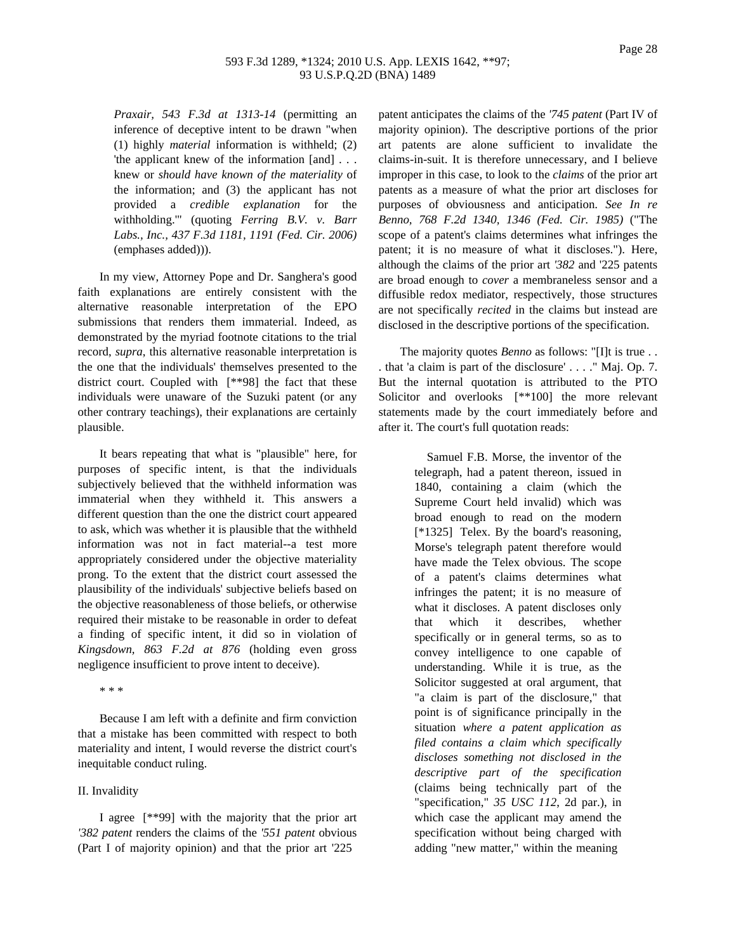## 593 F.3d 1289, \*1324; 2010 U.S. App. LEXIS 1642, \*\*97; 93 U.S.P.Q.2D (BNA) 1489

*Praxair, 543 F.3d at 1313-14* (permitting an inference of deceptive intent to be drawn "when (1) highly *material* information is withheld; (2) 'the applicant knew of the information [and] . . . knew or *should have known of the materiality* of the information; and (3) the applicant has not provided a *credible explanation* for the withholding.'" (quoting *Ferring B.V. v. Barr Labs., Inc., 437 F.3d 1181, 1191 (Fed. Cir. 2006)* (emphases added))).

In my view, Attorney Pope and Dr. Sanghera's good faith explanations are entirely consistent with the alternative reasonable interpretation of the EPO submissions that renders them immaterial. Indeed, as demonstrated by the myriad footnote citations to the trial record, *supra*, this alternative reasonable interpretation is the one that the individuals' themselves presented to the district court. Coupled with [\*\*98] the fact that these individuals were unaware of the Suzuki patent (or any other contrary teachings), their explanations are certainly plausible.

It bears repeating that what is "plausible" here, for purposes of specific intent, is that the individuals subjectively believed that the withheld information was immaterial when they withheld it. This answers a different question than the one the district court appeared to ask, which was whether it is plausible that the withheld information was not in fact material--a test more appropriately considered under the objective materiality prong. To the extent that the district court assessed the plausibility of the individuals' subjective beliefs based on the objective reasonableness of those beliefs, or otherwise required their mistake to be reasonable in order to defeat a finding of specific intent, it did so in violation of *Kingsdown, 863 F.2d at 876* (holding even gross negligence insufficient to prove intent to deceive).

\* \* \*

Because I am left with a definite and firm conviction that a mistake has been committed with respect to both materiality and intent, I would reverse the district court's inequitable conduct ruling.

## II. Invalidity

I agree [\*\*99] with the majority that the prior art *'382 patent* renders the claims of the *'551 patent* obvious (Part I of majority opinion) and that the prior art '225

patent anticipates the claims of the *'745 patent* (Part IV of majority opinion). The descriptive portions of the prior art patents are alone sufficient to invalidate the claims-in-suit. It is therefore unnecessary, and I believe improper in this case, to look to the *claims* of the prior art patents as a measure of what the prior art discloses for purposes of obviousness and anticipation. *See In re Benno, 768 F.2d 1340, 1346 (Fed. Cir. 1985)* ("The scope of a patent's claims determines what infringes the patent; it is no measure of what it discloses."). Here, although the claims of the prior art *'382* and '225 patents are broad enough to *cover* a membraneless sensor and a diffusible redox mediator, respectively, those structures are not specifically *recited* in the claims but instead are disclosed in the descriptive portions of the specification.

The majority quotes *Benno* as follows: "[I]t is true . . . that 'a claim is part of the disclosure' . . . ." Maj. Op. 7. But the internal quotation is attributed to the PTO Solicitor and overlooks [\*\*100] the more relevant statements made by the court immediately before and after it. The court's full quotation reads:

> Samuel F.B. Morse, the inventor of the telegraph, had a patent thereon, issued in 1840, containing a claim (which the Supreme Court held invalid) which was broad enough to read on the modern [\*1325] Telex. By the board's reasoning, Morse's telegraph patent therefore would have made the Telex obvious. The scope of a patent's claims determines what infringes the patent; it is no measure of what it discloses. A patent discloses only that which it describes, whether specifically or in general terms, so as to convey intelligence to one capable of understanding. While it is true, as the Solicitor suggested at oral argument, that "a claim is part of the disclosure," that point is of significance principally in the situation *where a patent application as filed contains a claim which specifically discloses something not disclosed in the descriptive part of the specification* (claims being technically part of the "specification," *35 USC 112*, 2d par.), in which case the applicant may amend the specification without being charged with adding "new matter," within the meaning